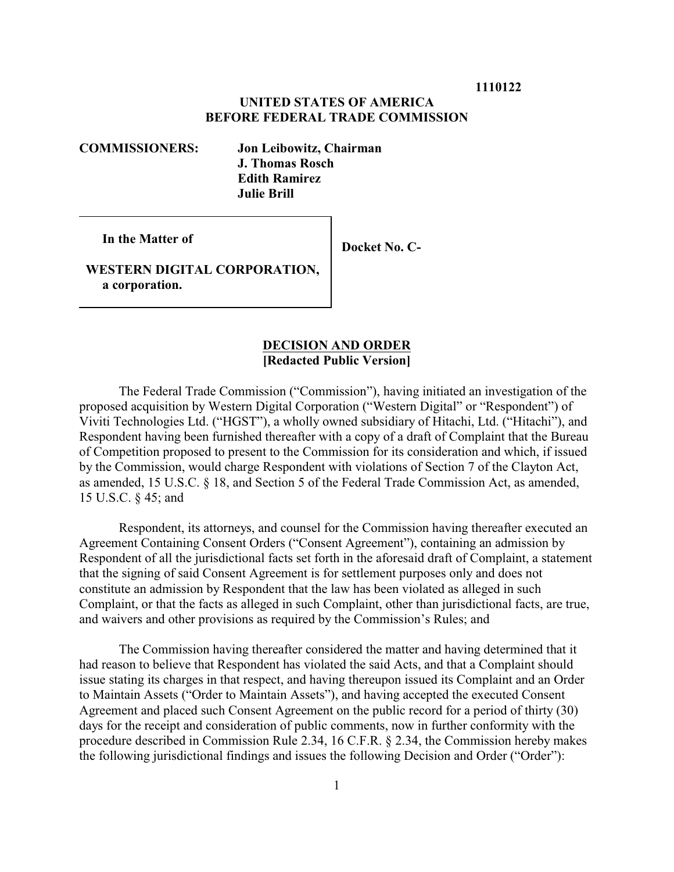**1110122**

# **UNITED STATES OF AMERICA BEFORE FEDERAL TRADE COMMISSION**

**COMMISSIONERS: Jon Leibowitz, Chairman J. Thomas Rosch Edith Ramirez Julie Brill**

 **In the Matter of**

 **Docket No. C-**

 **WESTERN DIGITAL CORPORATION, a corporation.**

### **DECISION AND ORDER [Redacted Public Version]**

The Federal Trade Commission ("Commission"), having initiated an investigation of the proposed acquisition by Western Digital Corporation ("Western Digital" or "Respondent") of Viviti Technologies Ltd. ("HGST"), a wholly owned subsidiary of Hitachi, Ltd. ("Hitachi"), and Respondent having been furnished thereafter with a copy of a draft of Complaint that the Bureau of Competition proposed to present to the Commission for its consideration and which, if issued by the Commission, would charge Respondent with violations of Section 7 of the Clayton Act, as amended, 15 U.S.C. § 18, and Section 5 of the Federal Trade Commission Act, as amended, 15 U.S.C. § 45; and

Respondent, its attorneys, and counsel for the Commission having thereafter executed an Agreement Containing Consent Orders ("Consent Agreement"), containing an admission by Respondent of all the jurisdictional facts set forth in the aforesaid draft of Complaint, a statement that the signing of said Consent Agreement is for settlement purposes only and does not constitute an admission by Respondent that the law has been violated as alleged in such Complaint, or that the facts as alleged in such Complaint, other than jurisdictional facts, are true, and waivers and other provisions as required by the Commission's Rules; and

The Commission having thereafter considered the matter and having determined that it had reason to believe that Respondent has violated the said Acts, and that a Complaint should issue stating its charges in that respect, and having thereupon issued its Complaint and an Order to Maintain Assets ("Order to Maintain Assets"), and having accepted the executed Consent Agreement and placed such Consent Agreement on the public record for a period of thirty (30) days for the receipt and consideration of public comments, now in further conformity with the procedure described in Commission Rule 2.34, 16 C.F.R. § 2.34, the Commission hereby makes the following jurisdictional findings and issues the following Decision and Order ("Order"):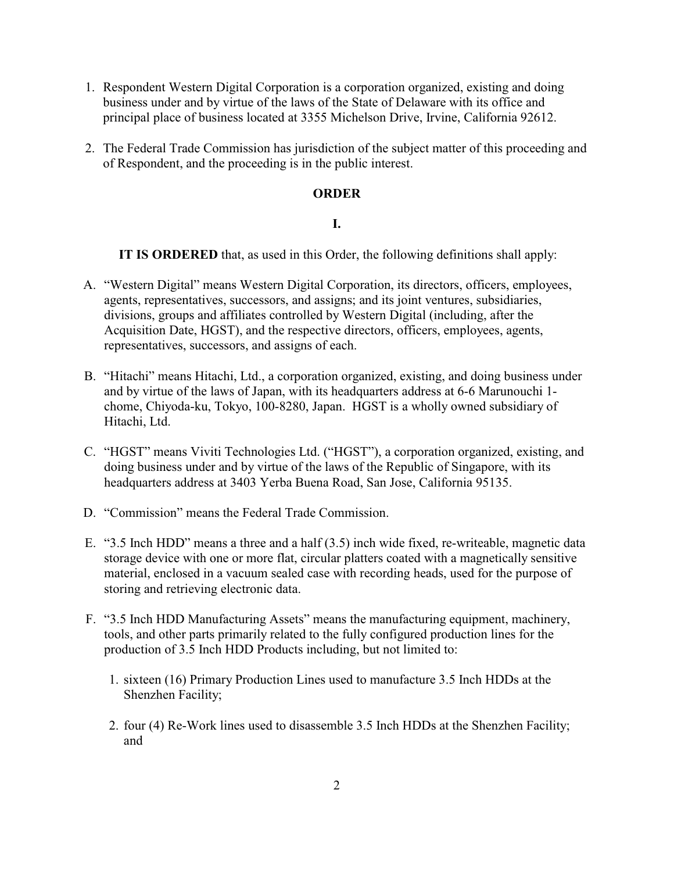- 1. Respondent Western Digital Corporation is a corporation organized, existing and doing business under and by virtue of the laws of the State of Delaware with its office and principal place of business located at 3355 Michelson Drive, Irvine, California 92612.
- 2. The Federal Trade Commission has jurisdiction of the subject matter of this proceeding and of Respondent, and the proceeding is in the public interest.

## **ORDER**

#### **I.**

**IT IS ORDERED** that, as used in this Order, the following definitions shall apply:

- A. "Western Digital" means Western Digital Corporation, its directors, officers, employees, agents, representatives, successors, and assigns; and its joint ventures, subsidiaries, divisions, groups and affiliates controlled by Western Digital (including, after the Acquisition Date, HGST), and the respective directors, officers, employees, agents, representatives, successors, and assigns of each.
- B. "Hitachi" means Hitachi, Ltd., a corporation organized, existing, and doing business under and by virtue of the laws of Japan, with its headquarters address at 6-6 Marunouchi 1 chome, Chiyoda-ku, Tokyo, 100-8280, Japan. HGST is a wholly owned subsidiary of Hitachi, Ltd.
- C. "HGST" means Viviti Technologies Ltd. ("HGST"), a corporation organized, existing, and doing business under and by virtue of the laws of the Republic of Singapore, with its headquarters address at 3403 Yerba Buena Road, San Jose, California 95135.
- D. "Commission" means the Federal Trade Commission.
- E. "3.5 Inch HDD" means a three and a half (3.5) inch wide fixed, re-writeable, magnetic data storage device with one or more flat, circular platters coated with a magnetically sensitive material, enclosed in a vacuum sealed case with recording heads, used for the purpose of storing and retrieving electronic data.
- F. "3.5 Inch HDD Manufacturing Assets" means the manufacturing equipment, machinery, tools, and other parts primarily related to the fully configured production lines for the production of 3.5 Inch HDD Products including, but not limited to:
	- 1. sixteen (16) Primary Production Lines used to manufacture 3.5 Inch HDDs at the Shenzhen Facility;
	- 2. four (4) Re-Work lines used to disassemble 3.5 Inch HDDs at the Shenzhen Facility; and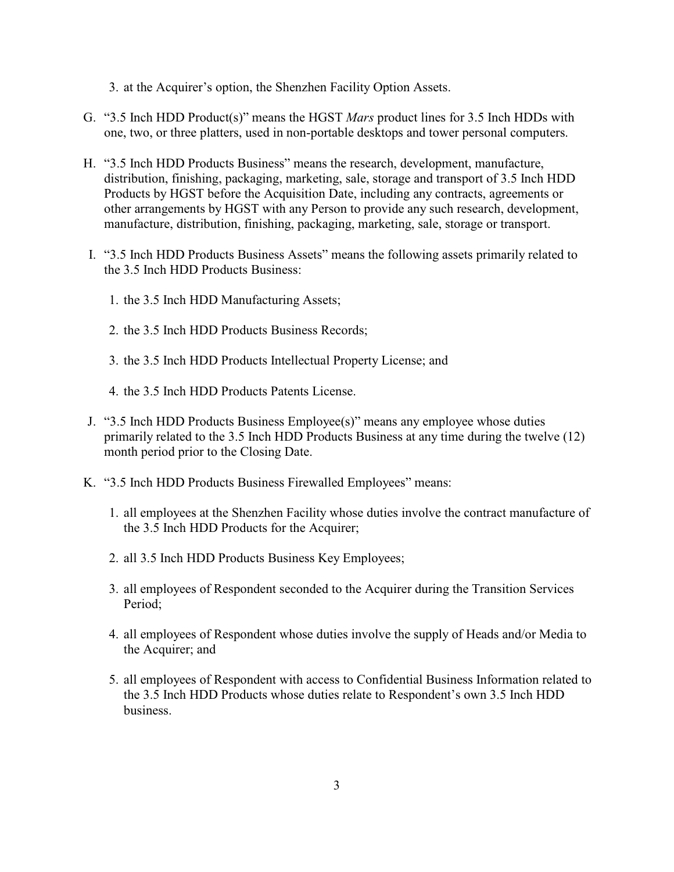3. at the Acquirer's option, the Shenzhen Facility Option Assets.

- G. "3.5 Inch HDD Product(s)" means the HGST *Mars* product lines for 3.5 Inch HDDs with one, two, or three platters, used in non-portable desktops and tower personal computers.
- H. "3.5 Inch HDD Products Business" means the research, development, manufacture, distribution, finishing, packaging, marketing, sale, storage and transport of 3.5 Inch HDD Products by HGST before the Acquisition Date, including any contracts, agreements or other arrangements by HGST with any Person to provide any such research, development, manufacture, distribution, finishing, packaging, marketing, sale, storage or transport.
- I. "3.5 Inch HDD Products Business Assets" means the following assets primarily related to the 3.5 Inch HDD Products Business:
	- 1. the 3.5 Inch HDD Manufacturing Assets;
	- 2. the 3.5 Inch HDD Products Business Records;
	- 3. the 3.5 Inch HDD Products Intellectual Property License; and
	- 4. the 3.5 Inch HDD Products Patents License.
- J. "3.5 Inch HDD Products Business Employee(s)" means any employee whose duties primarily related to the 3.5 Inch HDD Products Business at any time during the twelve (12) month period prior to the Closing Date.
- K. "3.5 Inch HDD Products Business Firewalled Employees" means:
	- 1. all employees at the Shenzhen Facility whose duties involve the contract manufacture of the 3.5 Inch HDD Products for the Acquirer;
	- 2. all 3.5 Inch HDD Products Business Key Employees;
	- 3. all employees of Respondent seconded to the Acquirer during the Transition Services Period;
	- 4. all employees of Respondent whose duties involve the supply of Heads and/or Media to the Acquirer; and
	- 5. all employees of Respondent with access to Confidential Business Information related to the 3.5 Inch HDD Products whose duties relate to Respondent's own 3.5 Inch HDD business.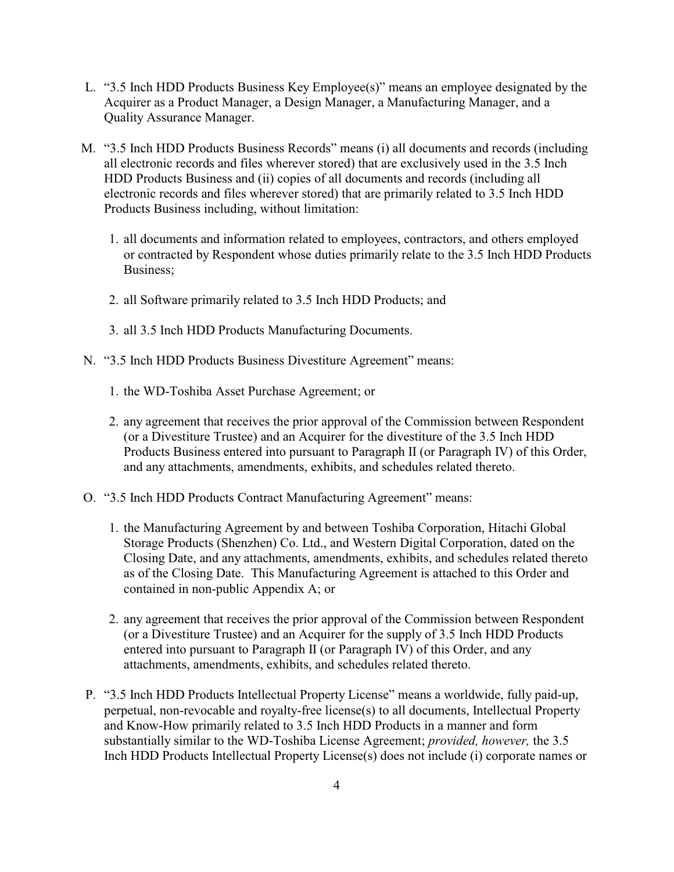- L. "3.5 Inch HDD Products Business Key Employee(s)" means an employee designated by the Acquirer as a Product Manager, a Design Manager, a Manufacturing Manager, and a Quality Assurance Manager.
- M. "3.5 Inch HDD Products Business Records" means (i) all documents and records (including all electronic records and files wherever stored) that are exclusively used in the 3.5 Inch HDD Products Business and (ii) copies of all documents and records (including all electronic records and files wherever stored) that are primarily related to 3.5 Inch HDD Products Business including, without limitation:
	- 1. all documents and information related to employees, contractors, and others employed or contracted by Respondent whose duties primarily relate to the 3.5 Inch HDD Products Business;
	- 2. all Software primarily related to 3.5 Inch HDD Products; and
	- 3. all 3.5 Inch HDD Products Manufacturing Documents.
- N. "3.5 Inch HDD Products Business Divestiture Agreement" means:
	- 1. the WD-Toshiba Asset Purchase Agreement; or
	- 2. any agreement that receives the prior approval of the Commission between Respondent (or a Divestiture Trustee) and an Acquirer for the divestiture of the 3.5 Inch HDD Products Business entered into pursuant to Paragraph II (or Paragraph IV) of this Order, and any attachments, amendments, exhibits, and schedules related thereto.
- O. "3.5 Inch HDD Products Contract Manufacturing Agreement" means:
	- 1. the Manufacturing Agreement by and between Toshiba Corporation, Hitachi Global Storage Products (Shenzhen) Co. Ltd., and Western Digital Corporation, dated on the Closing Date, and any attachments, amendments, exhibits, and schedules related thereto as of the Closing Date. This Manufacturing Agreement is attached to this Order and contained in non-public Appendix A; or
	- 2. any agreement that receives the prior approval of the Commission between Respondent (or a Divestiture Trustee) and an Acquirer for the supply of 3.5 Inch HDD Products entered into pursuant to Paragraph II (or Paragraph IV) of this Order, and any attachments, amendments, exhibits, and schedules related thereto.
- P. "3.5 Inch HDD Products Intellectual Property License" means a worldwide, fully paid-up, perpetual, non-revocable and royalty-free license(s) to all documents, Intellectual Property and Know-How primarily related to 3.5 Inch HDD Products in a manner and form substantially similar to the WD-Toshiba License Agreement; *provided, however,* the 3.5 Inch HDD Products Intellectual Property License(s) does not include (i) corporate names or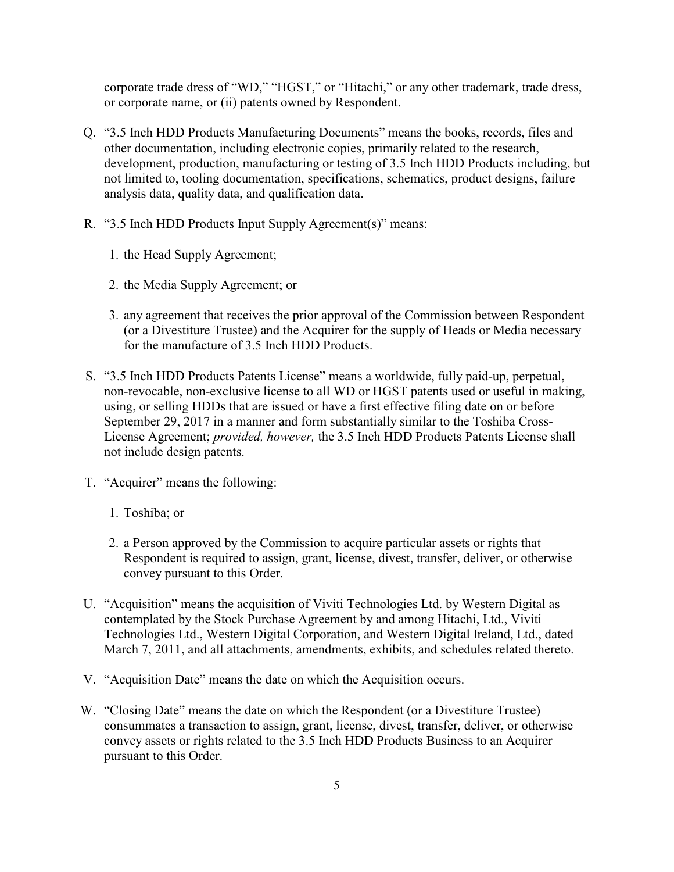corporate trade dress of "WD," "HGST," or "Hitachi," or any other trademark, trade dress, or corporate name, or (ii) patents owned by Respondent.

- Q. "3.5 Inch HDD Products Manufacturing Documents" means the books, records, files and other documentation, including electronic copies, primarily related to the research, development, production, manufacturing or testing of 3.5 Inch HDD Products including, but not limited to, tooling documentation, specifications, schematics, product designs, failure analysis data, quality data, and qualification data.
- R. "3.5 Inch HDD Products Input Supply Agreement(s)" means:
	- 1. the Head Supply Agreement;
	- 2. the Media Supply Agreement; or
	- 3. any agreement that receives the prior approval of the Commission between Respondent (or a Divestiture Trustee) and the Acquirer for the supply of Heads or Media necessary for the manufacture of 3.5 Inch HDD Products.
- S. "3.5 Inch HDD Products Patents License" means a worldwide, fully paid-up, perpetual, non-revocable, non-exclusive license to all WD or HGST patents used or useful in making, using, or selling HDDs that are issued or have a first effective filing date on or before September 29, 2017 in a manner and form substantially similar to the Toshiba Cross-License Agreement; *provided, however,* the 3.5 Inch HDD Products Patents License shall not include design patents.
- T. "Acquirer" means the following:
	- 1. Toshiba; or
	- 2. a Person approved by the Commission to acquire particular assets or rights that Respondent is required to assign, grant, license, divest, transfer, deliver, or otherwise convey pursuant to this Order.
- U. "Acquisition" means the acquisition of Viviti Technologies Ltd. by Western Digital as contemplated by the Stock Purchase Agreement by and among Hitachi, Ltd., Viviti Technologies Ltd., Western Digital Corporation, and Western Digital Ireland, Ltd., dated March 7, 2011, and all attachments, amendments, exhibits, and schedules related thereto.
- V. "Acquisition Date" means the date on which the Acquisition occurs.
- W. "Closing Date" means the date on which the Respondent (or a Divestiture Trustee) consummates a transaction to assign, grant, license, divest, transfer, deliver, or otherwise convey assets or rights related to the 3.5 Inch HDD Products Business to an Acquirer pursuant to this Order.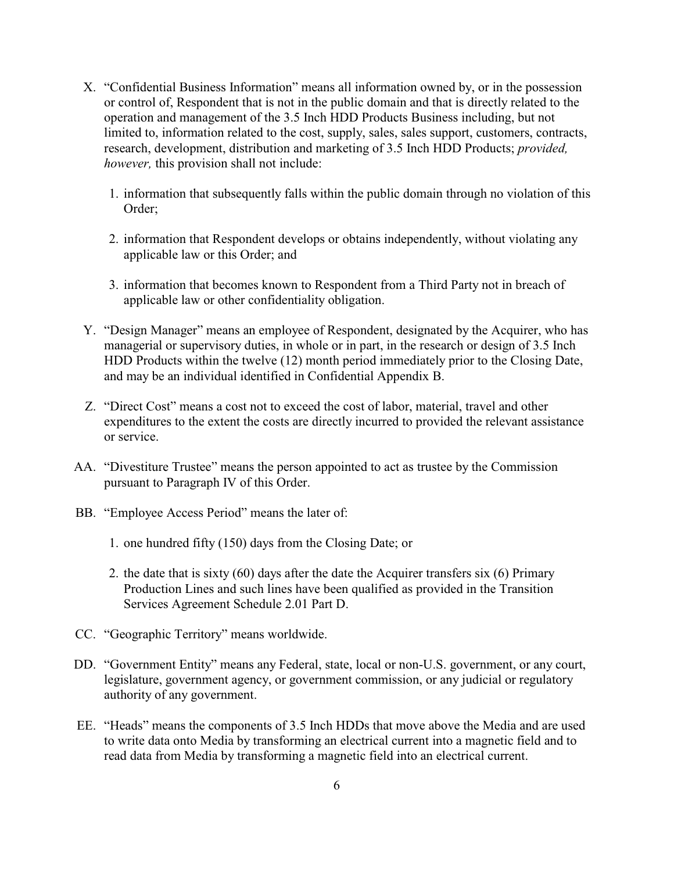- X. "Confidential Business Information" means all information owned by, or in the possession or control of, Respondent that is not in the public domain and that is directly related to the operation and management of the 3.5 Inch HDD Products Business including, but not limited to, information related to the cost, supply, sales, sales support, customers, contracts, research, development, distribution and marketing of 3.5 Inch HDD Products; *provided, however,* this provision shall not include:
	- 1. information that subsequently falls within the public domain through no violation of this Order;
	- 2. information that Respondent develops or obtains independently, without violating any applicable law or this Order; and
	- 3. information that becomes known to Respondent from a Third Party not in breach of applicable law or other confidentiality obligation.
- Y. "Design Manager" means an employee of Respondent, designated by the Acquirer, who has managerial or supervisory duties, in whole or in part, in the research or design of 3.5 Inch HDD Products within the twelve (12) month period immediately prior to the Closing Date, and may be an individual identified in Confidential Appendix B.
- Z. "Direct Cost" means a cost not to exceed the cost of labor, material, travel and other expenditures to the extent the costs are directly incurred to provided the relevant assistance or service.
- AA. "Divestiture Trustee" means the person appointed to act as trustee by the Commission pursuant to Paragraph IV of this Order.
- BB. "Employee Access Period" means the later of:
	- 1. one hundred fifty (150) days from the Closing Date; or
	- 2. the date that is sixty (60) days after the date the Acquirer transfers six (6) Primary Production Lines and such lines have been qualified as provided in the Transition Services Agreement Schedule 2.01 Part D.
- CC. "Geographic Territory" means worldwide.
- DD. "Government Entity" means any Federal, state, local or non-U.S. government, or any court, legislature, government agency, or government commission, or any judicial or regulatory authority of any government.
- EE. "Heads" means the components of 3.5 Inch HDDs that move above the Media and are used to write data onto Media by transforming an electrical current into a magnetic field and to read data from Media by transforming a magnetic field into an electrical current.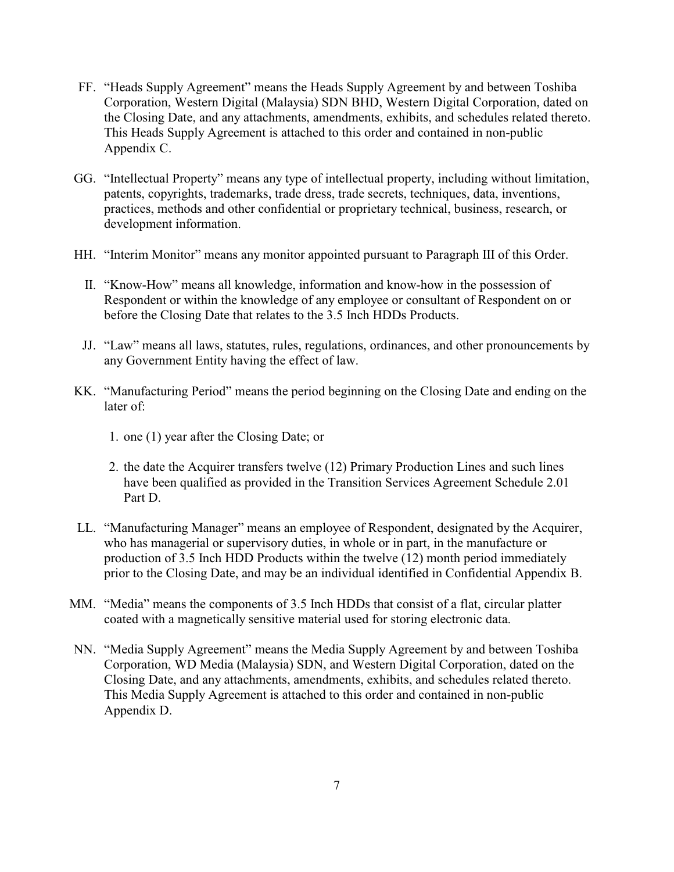- FF. "Heads Supply Agreement" means the Heads Supply Agreement by and between Toshiba Corporation, Western Digital (Malaysia) SDN BHD, Western Digital Corporation, dated on the Closing Date, and any attachments, amendments, exhibits, and schedules related thereto. This Heads Supply Agreement is attached to this order and contained in non-public Appendix C.
- GG. "Intellectual Property" means any type of intellectual property, including without limitation, patents, copyrights, trademarks, trade dress, trade secrets, techniques, data, inventions, practices, methods and other confidential or proprietary technical, business, research, or development information.
- HH. "Interim Monitor" means any monitor appointed pursuant to Paragraph III of this Order.
	- II. "Know-How" means all knowledge, information and know-how in the possession of Respondent or within the knowledge of any employee or consultant of Respondent on or before the Closing Date that relates to the 3.5 Inch HDDs Products.
	- JJ. "Law" means all laws, statutes, rules, regulations, ordinances, and other pronouncements by any Government Entity having the effect of law.
- KK. "Manufacturing Period" means the period beginning on the Closing Date and ending on the later of:
	- 1. one (1) year after the Closing Date; or
	- 2. the date the Acquirer transfers twelve (12) Primary Production Lines and such lines have been qualified as provided in the Transition Services Agreement Schedule 2.01 Part D.
- LL. "Manufacturing Manager" means an employee of Respondent, designated by the Acquirer, who has managerial or supervisory duties, in whole or in part, in the manufacture or production of 3.5 Inch HDD Products within the twelve (12) month period immediately prior to the Closing Date, and may be an individual identified in Confidential Appendix B.
- MM. "Media" means the components of 3.5 Inch HDDs that consist of a flat, circular platter coated with a magnetically sensitive material used for storing electronic data.
- NN. "Media Supply Agreement" means the Media Supply Agreement by and between Toshiba Corporation, WD Media (Malaysia) SDN, and Western Digital Corporation, dated on the Closing Date, and any attachments, amendments, exhibits, and schedules related thereto. This Media Supply Agreement is attached to this order and contained in non-public Appendix D.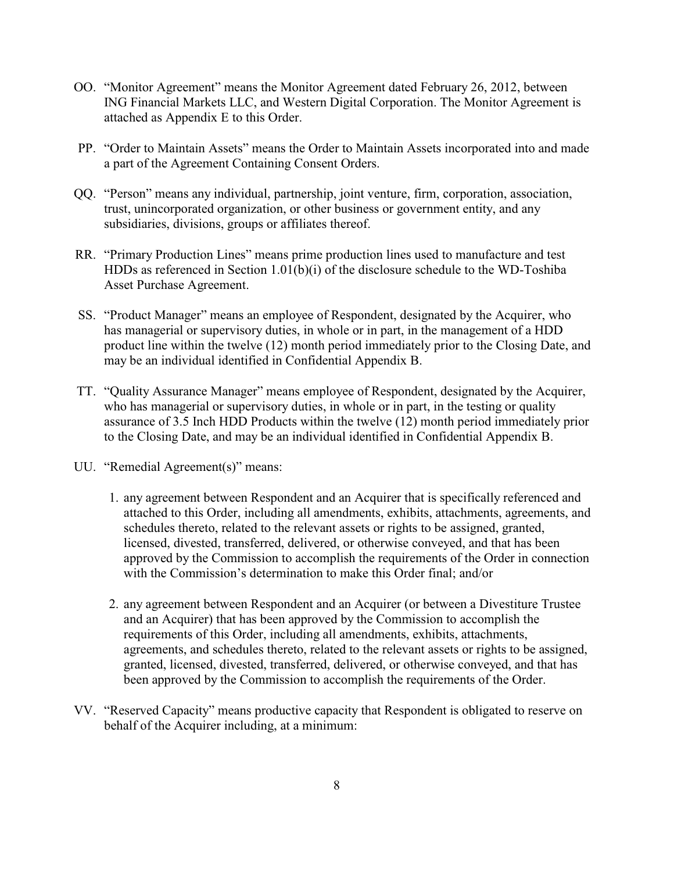- OO. "Monitor Agreement" means the Monitor Agreement dated February 26, 2012, between ING Financial Markets LLC, and Western Digital Corporation. The Monitor Agreement is attached as Appendix E to this Order.
- PP. "Order to Maintain Assets" means the Order to Maintain Assets incorporated into and made a part of the Agreement Containing Consent Orders.
- QQ. "Person" means any individual, partnership, joint venture, firm, corporation, association, trust, unincorporated organization, or other business or government entity, and any subsidiaries, divisions, groups or affiliates thereof.
- RR. "Primary Production Lines" means prime production lines used to manufacture and test HDDs as referenced in Section 1.01(b)(i) of the disclosure schedule to the WD-Toshiba Asset Purchase Agreement.
- SS. "Product Manager" means an employee of Respondent, designated by the Acquirer, who has managerial or supervisory duties, in whole or in part, in the management of a HDD product line within the twelve (12) month period immediately prior to the Closing Date, and may be an individual identified in Confidential Appendix B.
- TT. "Quality Assurance Manager" means employee of Respondent, designated by the Acquirer, who has managerial or supervisory duties, in whole or in part, in the testing or quality assurance of 3.5 Inch HDD Products within the twelve (12) month period immediately prior to the Closing Date, and may be an individual identified in Confidential Appendix B.
- UU. "Remedial Agreement(s)" means:
	- 1. any agreement between Respondent and an Acquirer that is specifically referenced and attached to this Order, including all amendments, exhibits, attachments, agreements, and schedules thereto, related to the relevant assets or rights to be assigned, granted, licensed, divested, transferred, delivered, or otherwise conveyed, and that has been approved by the Commission to accomplish the requirements of the Order in connection with the Commission's determination to make this Order final; and/or
	- 2. any agreement between Respondent and an Acquirer (or between a Divestiture Trustee and an Acquirer) that has been approved by the Commission to accomplish the requirements of this Order, including all amendments, exhibits, attachments, agreements, and schedules thereto, related to the relevant assets or rights to be assigned, granted, licensed, divested, transferred, delivered, or otherwise conveyed, and that has been approved by the Commission to accomplish the requirements of the Order.
- VV. "Reserved Capacity" means productive capacity that Respondent is obligated to reserve on behalf of the Acquirer including, at a minimum: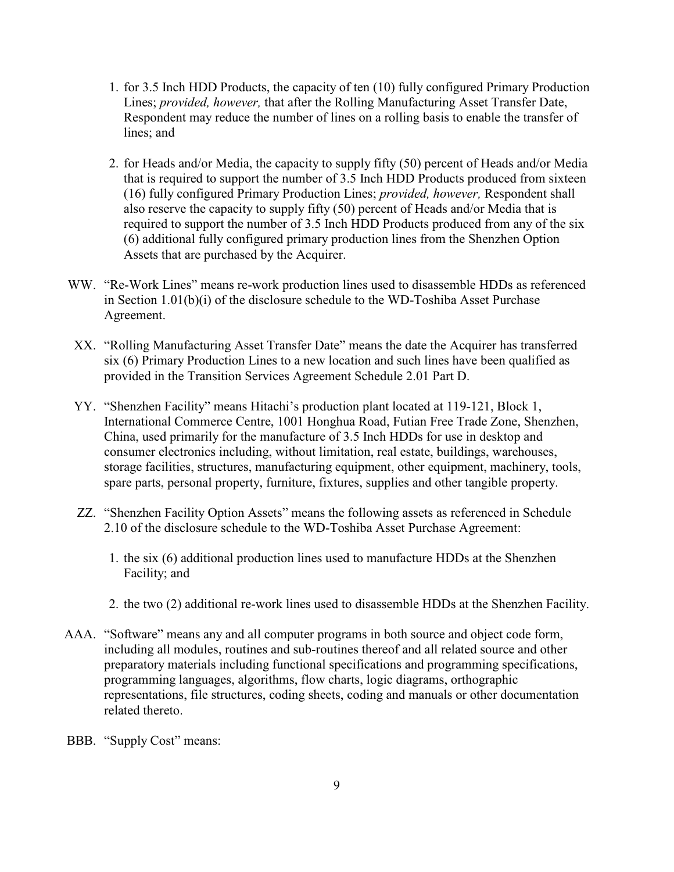- 1. for 3.5 Inch HDD Products, the capacity of ten (10) fully configured Primary Production Lines; *provided, however,* that after the Rolling Manufacturing Asset Transfer Date, Respondent may reduce the number of lines on a rolling basis to enable the transfer of lines; and
- 2. for Heads and/or Media, the capacity to supply fifty (50) percent of Heads and/or Media that is required to support the number of 3.5 Inch HDD Products produced from sixteen (16) fully configured Primary Production Lines; *provided, however,* Respondent shall also reserve the capacity to supply fifty (50) percent of Heads and/or Media that is required to support the number of 3.5 Inch HDD Products produced from any of the six (6) additional fully configured primary production lines from the Shenzhen Option Assets that are purchased by the Acquirer.
- WW. "Re-Work Lines" means re-work production lines used to disassemble HDDs as referenced in Section 1.01(b)(i) of the disclosure schedule to the WD-Toshiba Asset Purchase Agreement.
- XX. "Rolling Manufacturing Asset Transfer Date" means the date the Acquirer has transferred six (6) Primary Production Lines to a new location and such lines have been qualified as provided in the Transition Services Agreement Schedule 2.01 Part D.
- YY. "Shenzhen Facility" means Hitachi's production plant located at 119-121, Block 1, International Commerce Centre, 1001 Honghua Road, Futian Free Trade Zone, Shenzhen, China, used primarily for the manufacture of 3.5 Inch HDDs for use in desktop and consumer electronics including, without limitation, real estate, buildings, warehouses, storage facilities, structures, manufacturing equipment, other equipment, machinery, tools, spare parts, personal property, furniture, fixtures, supplies and other tangible property.
- ZZ. "Shenzhen Facility Option Assets" means the following assets as referenced in Schedule 2.10 of the disclosure schedule to the WD-Toshiba Asset Purchase Agreement:
	- 1. the six (6) additional production lines used to manufacture HDDs at the Shenzhen Facility; and
	- 2. the two (2) additional re-work lines used to disassemble HDDs at the Shenzhen Facility.
- AAA. "Software" means any and all computer programs in both source and object code form, including all modules, routines and sub-routines thereof and all related source and other preparatory materials including functional specifications and programming specifications, programming languages, algorithms, flow charts, logic diagrams, orthographic representations, file structures, coding sheets, coding and manuals or other documentation related thereto.
- BBB. "Supply Cost" means: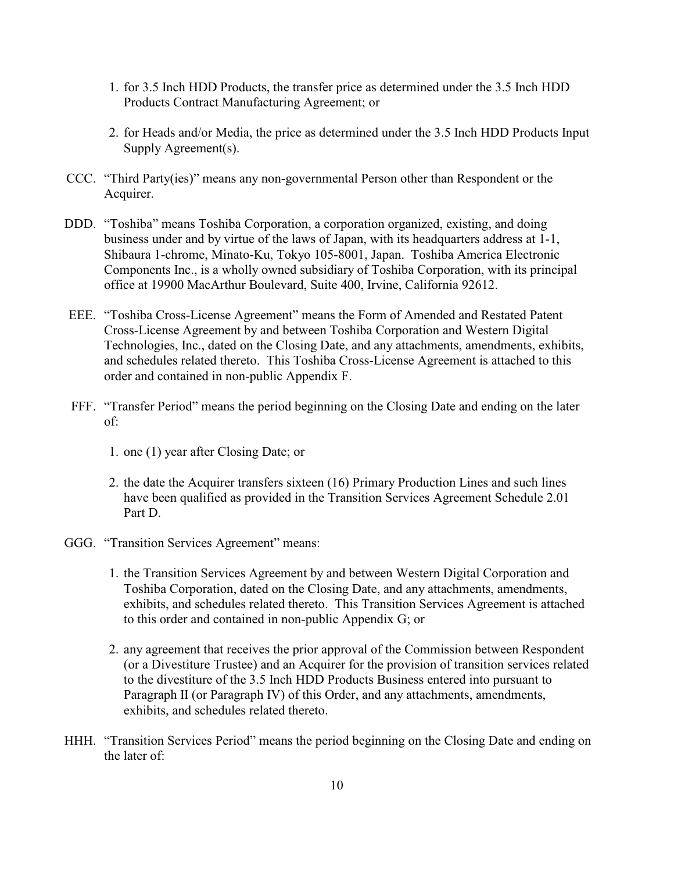- 1. for 3.5 Inch HDD Products, the transfer price as determined under the 3.5 Inch HDD Products Contract Manufacturing Agreement; or
- 2. for Heads and/or Media, the price as determined under the 3.5 Inch HDD Products Input Supply Agreement(s).
- CCC. "Third Party(ies)" means any non-governmental Person other than Respondent or the Acquirer.
- DDD. "Toshiba" means Toshiba Corporation, a corporation organized, existing, and doing business under and by virtue of the laws of Japan, with its headquarters address at 1-1, Shibaura 1-chrome, Minato-Ku, Tokyo 105-8001, Japan. Toshiba America Electronic Components Inc., is a wholly owned subsidiary of Toshiba Corporation, with its principal office at 19900 MacArthur Boulevard, Suite 400, Irvine, California 92612.
- EEE. "Toshiba Cross-License Agreement" means the Form of Amended and Restated Patent Cross-License Agreement by and between Toshiba Corporation and Western Digital Technologies, Inc., dated on the Closing Date, and any attachments, amendments, exhibits, and schedules related thereto. This Toshiba Cross-License Agreement is attached to this order and contained in non-public Appendix F.
- FFF. "Transfer Period" means the period beginning on the Closing Date and ending on the later of:
	- 1. one (1) year after Closing Date; or
	- 2. the date the Acquirer transfers sixteen (16) Primary Production Lines and such lines have been qualified as provided in the Transition Services Agreement Schedule 2.01 Part D.
- GGG. "Transition Services Agreement" means:
	- 1. the Transition Services Agreement by and between Western Digital Corporation and Toshiba Corporation, dated on the Closing Date, and any attachments, amendments, exhibits, and schedules related thereto. This Transition Services Agreement is attached to this order and contained in non-public Appendix G; or
	- 2. any agreement that receives the prior approval of the Commission between Respondent (or a Divestiture Trustee) and an Acquirer for the provision of transition services related to the divestiture of the 3.5 Inch HDD Products Business entered into pursuant to Paragraph II (or Paragraph IV) of this Order, and any attachments, amendments, exhibits, and schedules related thereto.
- HHH. "Transition Services Period" means the period beginning on the Closing Date and ending on the later of: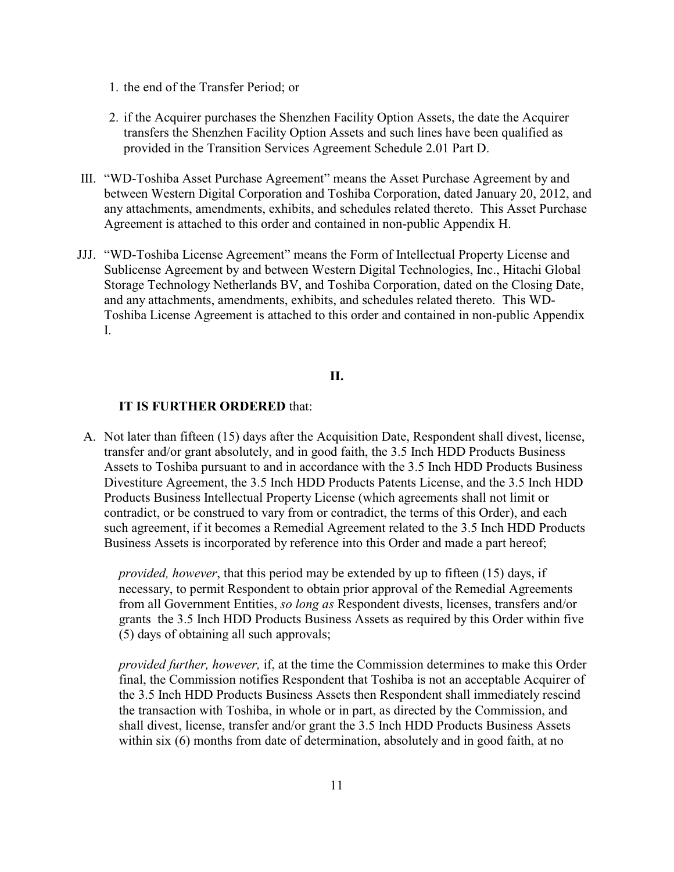- 1. the end of the Transfer Period; or
- 2. if the Acquirer purchases the Shenzhen Facility Option Assets, the date the Acquirer transfers the Shenzhen Facility Option Assets and such lines have been qualified as provided in the Transition Services Agreement Schedule 2.01 Part D.
- III. "WD-Toshiba Asset Purchase Agreement" means the Asset Purchase Agreement by and between Western Digital Corporation and Toshiba Corporation, dated January 20, 2012, and any attachments, amendments, exhibits, and schedules related thereto. This Asset Purchase Agreement is attached to this order and contained in non-public Appendix H.
- JJJ. "WD-Toshiba License Agreement" means the Form of Intellectual Property License and Sublicense Agreement by and between Western Digital Technologies, Inc., Hitachi Global Storage Technology Netherlands BV, and Toshiba Corporation, dated on the Closing Date, and any attachments, amendments, exhibits, and schedules related thereto. This WD-Toshiba License Agreement is attached to this order and contained in non-public Appendix I.

## **II.**

#### **IT IS FURTHER ORDERED** that:

A. Not later than fifteen (15) days after the Acquisition Date, Respondent shall divest, license, transfer and/or grant absolutely, and in good faith, the 3.5 Inch HDD Products Business Assets to Toshiba pursuant to and in accordance with the 3.5 Inch HDD Products Business Divestiture Agreement, the 3.5 Inch HDD Products Patents License, and the 3.5 Inch HDD Products Business Intellectual Property License (which agreements shall not limit or contradict, or be construed to vary from or contradict, the terms of this Order), and each such agreement, if it becomes a Remedial Agreement related to the 3.5 Inch HDD Products Business Assets is incorporated by reference into this Order and made a part hereof;

*provided, however*, that this period may be extended by up to fifteen (15) days, if necessary, to permit Respondent to obtain prior approval of the Remedial Agreements from all Government Entities, *so long as* Respondent divests, licenses, transfers and/or grants the 3.5 Inch HDD Products Business Assets as required by this Order within five (5) days of obtaining all such approvals;

*provided further, however,* if, at the time the Commission determines to make this Order final, the Commission notifies Respondent that Toshiba is not an acceptable Acquirer of the 3.5 Inch HDD Products Business Assets then Respondent shall immediately rescind the transaction with Toshiba, in whole or in part, as directed by the Commission, and shall divest, license, transfer and/or grant the 3.5 Inch HDD Products Business Assets within six (6) months from date of determination, absolutely and in good faith, at no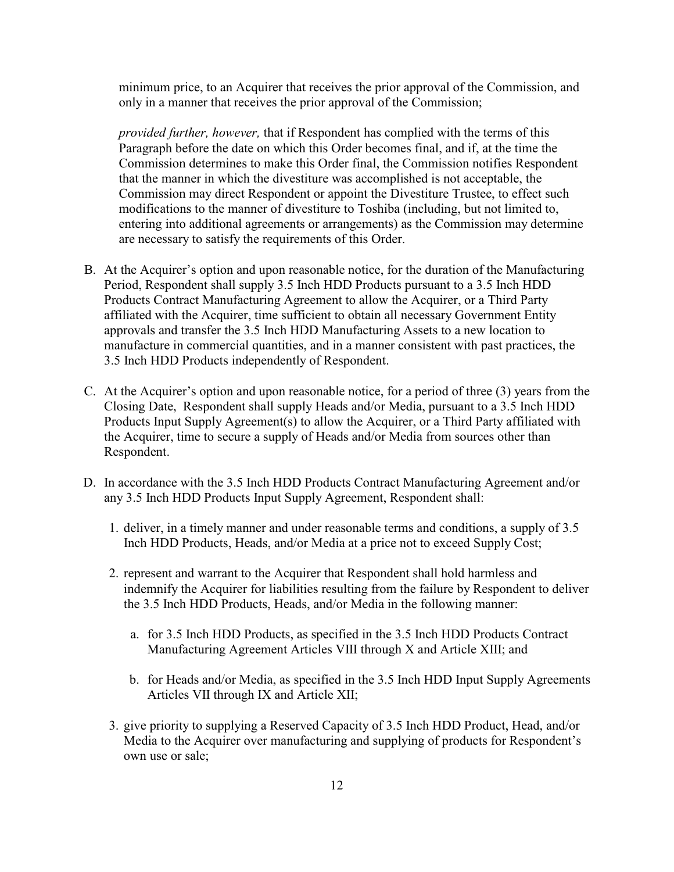minimum price, to an Acquirer that receives the prior approval of the Commission, and only in a manner that receives the prior approval of the Commission;

*provided further, however,* that if Respondent has complied with the terms of this Paragraph before the date on which this Order becomes final, and if, at the time the Commission determines to make this Order final, the Commission notifies Respondent that the manner in which the divestiture was accomplished is not acceptable, the Commission may direct Respondent or appoint the Divestiture Trustee, to effect such modifications to the manner of divestiture to Toshiba (including, but not limited to, entering into additional agreements or arrangements) as the Commission may determine are necessary to satisfy the requirements of this Order.

- B. At the Acquirer's option and upon reasonable notice, for the duration of the Manufacturing Period, Respondent shall supply 3.5 Inch HDD Products pursuant to a 3.5 Inch HDD Products Contract Manufacturing Agreement to allow the Acquirer, or a Third Party affiliated with the Acquirer, time sufficient to obtain all necessary Government Entity approvals and transfer the 3.5 Inch HDD Manufacturing Assets to a new location to manufacture in commercial quantities, and in a manner consistent with past practices, the 3.5 Inch HDD Products independently of Respondent.
- C. At the Acquirer's option and upon reasonable notice, for a period of three (3) years from the Closing Date, Respondent shall supply Heads and/or Media, pursuant to a 3.5 Inch HDD Products Input Supply Agreement(s) to allow the Acquirer, or a Third Party affiliated with the Acquirer, time to secure a supply of Heads and/or Media from sources other than Respondent.
- D. In accordance with the 3.5 Inch HDD Products Contract Manufacturing Agreement and/or any 3.5 Inch HDD Products Input Supply Agreement, Respondent shall:
	- 1. deliver, in a timely manner and under reasonable terms and conditions, a supply of 3.5 Inch HDD Products, Heads, and/or Media at a price not to exceed Supply Cost;
	- 2. represent and warrant to the Acquirer that Respondent shall hold harmless and indemnify the Acquirer for liabilities resulting from the failure by Respondent to deliver the 3.5 Inch HDD Products, Heads, and/or Media in the following manner:
		- a. for 3.5 Inch HDD Products, as specified in the 3.5 Inch HDD Products Contract Manufacturing Agreement Articles VIII through X and Article XIII; and
		- b. for Heads and/or Media, as specified in the 3.5 Inch HDD Input Supply Agreements Articles VII through IX and Article XII;
	- 3. give priority to supplying a Reserved Capacity of 3.5 Inch HDD Product, Head, and/or Media to the Acquirer over manufacturing and supplying of products for Respondent's own use or sale;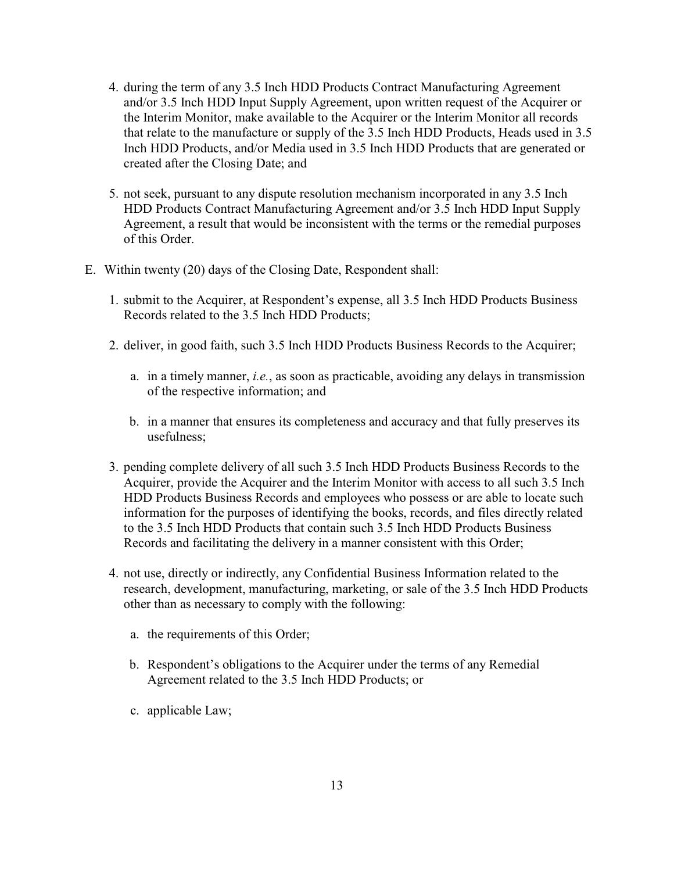- 4. during the term of any 3.5 Inch HDD Products Contract Manufacturing Agreement and/or 3.5 Inch HDD Input Supply Agreement, upon written request of the Acquirer or the Interim Monitor, make available to the Acquirer or the Interim Monitor all records that relate to the manufacture or supply of the 3.5 Inch HDD Products, Heads used in 3.5 Inch HDD Products, and/or Media used in 3.5 Inch HDD Products that are generated or created after the Closing Date; and
- 5. not seek, pursuant to any dispute resolution mechanism incorporated in any 3.5 Inch HDD Products Contract Manufacturing Agreement and/or 3.5 Inch HDD Input Supply Agreement, a result that would be inconsistent with the terms or the remedial purposes of this Order.
- E. Within twenty (20) days of the Closing Date, Respondent shall:
	- 1. submit to the Acquirer, at Respondent's expense, all 3.5 Inch HDD Products Business Records related to the 3.5 Inch HDD Products;
	- 2. deliver, in good faith, such 3.5 Inch HDD Products Business Records to the Acquirer;
		- a. in a timely manner, *i.e.*, as soon as practicable, avoiding any delays in transmission of the respective information; and
		- b. in a manner that ensures its completeness and accuracy and that fully preserves its usefulness;
	- 3. pending complete delivery of all such 3.5 Inch HDD Products Business Records to the Acquirer, provide the Acquirer and the Interim Monitor with access to all such 3.5 Inch HDD Products Business Records and employees who possess or are able to locate such information for the purposes of identifying the books, records, and files directly related to the 3.5 Inch HDD Products that contain such 3.5 Inch HDD Products Business Records and facilitating the delivery in a manner consistent with this Order;
	- 4. not use, directly or indirectly, any Confidential Business Information related to the research, development, manufacturing, marketing, or sale of the 3.5 Inch HDD Products other than as necessary to comply with the following:
		- a. the requirements of this Order;
		- b. Respondent's obligations to the Acquirer under the terms of any Remedial Agreement related to the 3.5 Inch HDD Products; or
		- c. applicable Law;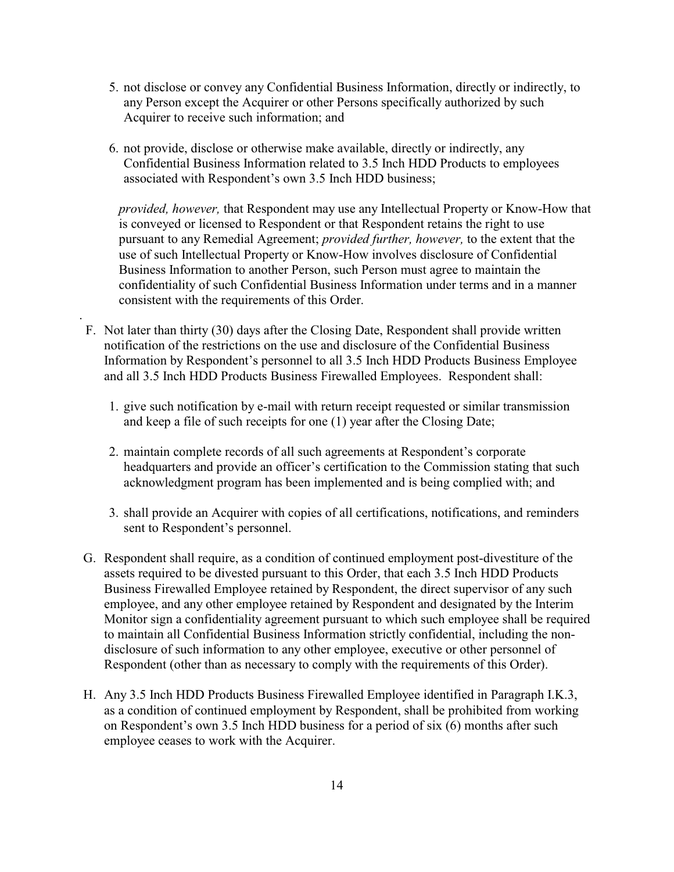- 5. not disclose or convey any Confidential Business Information, directly or indirectly, to any Person except the Acquirer or other Persons specifically authorized by such Acquirer to receive such information; and
- 6. not provide, disclose or otherwise make available, directly or indirectly, any Confidential Business Information related to 3.5 Inch HDD Products to employees associated with Respondent's own 3.5 Inch HDD business;

*provided, however,* that Respondent may use any Intellectual Property or Know-How that is conveyed or licensed to Respondent or that Respondent retains the right to use pursuant to any Remedial Agreement; *provided further, however,* to the extent that the use of such Intellectual Property or Know-How involves disclosure of Confidential Business Information to another Person, such Person must agree to maintain the confidentiality of such Confidential Business Information under terms and in a manner consistent with the requirements of this Order.

F. Not later than thirty (30) days after the Closing Date, Respondent shall provide written notification of the restrictions on the use and disclosure of the Confidential Business Information by Respondent's personnel to all 3.5 Inch HDD Products Business Employee and all 3.5 Inch HDD Products Business Firewalled Employees. Respondent shall:

.

- 1. give such notification by e-mail with return receipt requested or similar transmission and keep a file of such receipts for one (1) year after the Closing Date;
- 2. maintain complete records of all such agreements at Respondent's corporate headquarters and provide an officer's certification to the Commission stating that such acknowledgment program has been implemented and is being complied with; and
- 3. shall provide an Acquirer with copies of all certifications, notifications, and reminders sent to Respondent's personnel.
- G. Respondent shall require, as a condition of continued employment post-divestiture of the assets required to be divested pursuant to this Order, that each 3.5 Inch HDD Products Business Firewalled Employee retained by Respondent, the direct supervisor of any such employee, and any other employee retained by Respondent and designated by the Interim Monitor sign a confidentiality agreement pursuant to which such employee shall be required to maintain all Confidential Business Information strictly confidential, including the nondisclosure of such information to any other employee, executive or other personnel of Respondent (other than as necessary to comply with the requirements of this Order).
- H. Any 3.5 Inch HDD Products Business Firewalled Employee identified in Paragraph I.K.3, as a condition of continued employment by Respondent, shall be prohibited from working on Respondent's own 3.5 Inch HDD business for a period of six (6) months after such employee ceases to work with the Acquirer.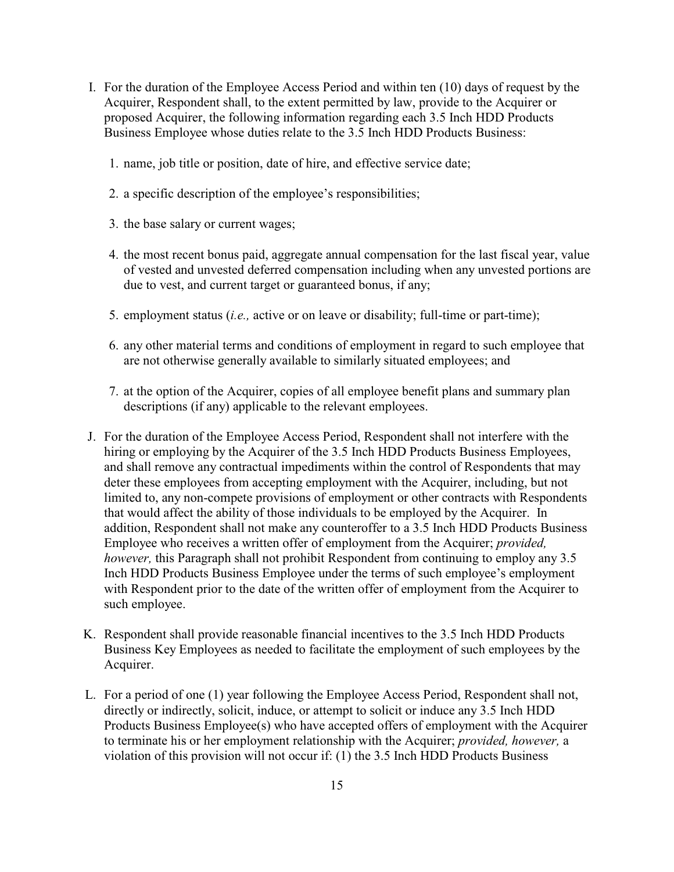- I. For the duration of the Employee Access Period and within ten (10) days of request by the Acquirer, Respondent shall, to the extent permitted by law, provide to the Acquirer or proposed Acquirer, the following information regarding each 3.5 Inch HDD Products Business Employee whose duties relate to the 3.5 Inch HDD Products Business:
	- 1. name, job title or position, date of hire, and effective service date;
	- 2. a specific description of the employee's responsibilities;
	- 3. the base salary or current wages;
	- 4. the most recent bonus paid, aggregate annual compensation for the last fiscal year, value of vested and unvested deferred compensation including when any unvested portions are due to vest, and current target or guaranteed bonus, if any;
	- 5. employment status (*i.e.,* active or on leave or disability; full-time or part-time);
	- 6. any other material terms and conditions of employment in regard to such employee that are not otherwise generally available to similarly situated employees; and
	- 7. at the option of the Acquirer, copies of all employee benefit plans and summary plan descriptions (if any) applicable to the relevant employees.
- J. For the duration of the Employee Access Period, Respondent shall not interfere with the hiring or employing by the Acquirer of the 3.5 Inch HDD Products Business Employees, and shall remove any contractual impediments within the control of Respondents that may deter these employees from accepting employment with the Acquirer, including, but not limited to, any non-compete provisions of employment or other contracts with Respondents that would affect the ability of those individuals to be employed by the Acquirer. In addition, Respondent shall not make any counteroffer to a 3.5 Inch HDD Products Business Employee who receives a written offer of employment from the Acquirer; *provided, however*, this Paragraph shall not prohibit Respondent from continuing to employ any 3.5 Inch HDD Products Business Employee under the terms of such employee's employment with Respondent prior to the date of the written offer of employment from the Acquirer to such employee.
- K. Respondent shall provide reasonable financial incentives to the 3.5 Inch HDD Products Business Key Employees as needed to facilitate the employment of such employees by the Acquirer.
- L. For a period of one (1) year following the Employee Access Period, Respondent shall not, directly or indirectly, solicit, induce, or attempt to solicit or induce any 3.5 Inch HDD Products Business Employee(s) who have accepted offers of employment with the Acquirer to terminate his or her employment relationship with the Acquirer; *provided, however,* a violation of this provision will not occur if: (1) the 3.5 Inch HDD Products Business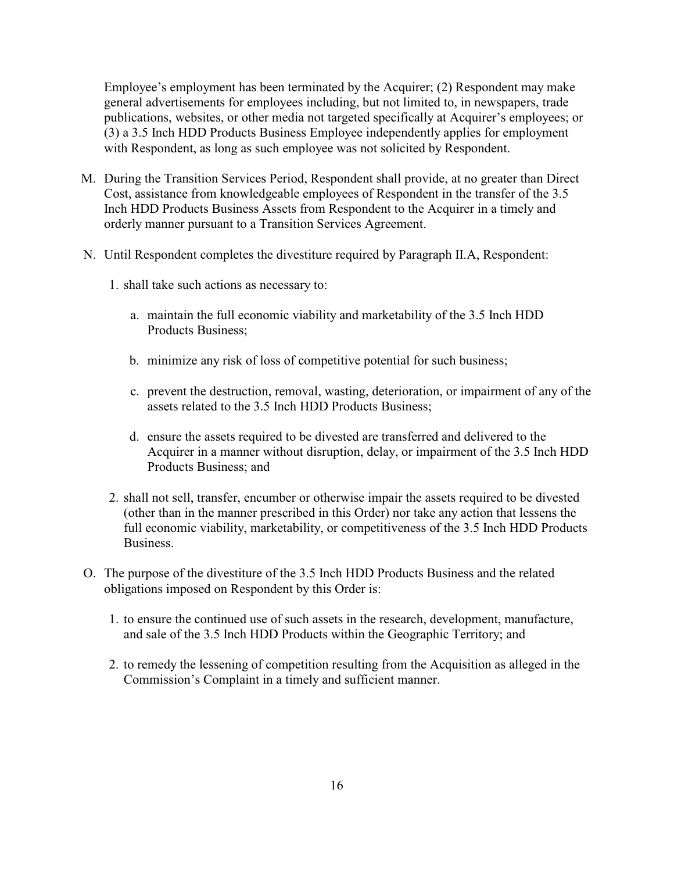Employee's employment has been terminated by the Acquirer; (2) Respondent may make general advertisements for employees including, but not limited to, in newspapers, trade publications, websites, or other media not targeted specifically at Acquirer's employees; or (3) a 3.5 Inch HDD Products Business Employee independently applies for employment with Respondent, as long as such employee was not solicited by Respondent.

- M. During the Transition Services Period, Respondent shall provide, at no greater than Direct Cost, assistance from knowledgeable employees of Respondent in the transfer of the 3.5 Inch HDD Products Business Assets from Respondent to the Acquirer in a timely and orderly manner pursuant to a Transition Services Agreement.
- N. Until Respondent completes the divestiture required by Paragraph II.A, Respondent:
	- 1. shall take such actions as necessary to:
		- a. maintain the full economic viability and marketability of the 3.5 Inch HDD Products Business;
		- b. minimize any risk of loss of competitive potential for such business;
		- c. prevent the destruction, removal, wasting, deterioration, or impairment of any of the assets related to the 3.5 Inch HDD Products Business;
		- d. ensure the assets required to be divested are transferred and delivered to the Acquirer in a manner without disruption, delay, or impairment of the 3.5 Inch HDD Products Business; and
	- 2. shall not sell, transfer, encumber or otherwise impair the assets required to be divested (other than in the manner prescribed in this Order) nor take any action that lessens the full economic viability, marketability, or competitiveness of the 3.5 Inch HDD Products Business.
- O. The purpose of the divestiture of the 3.5 Inch HDD Products Business and the related obligations imposed on Respondent by this Order is:
	- 1. to ensure the continued use of such assets in the research, development, manufacture, and sale of the 3.5 Inch HDD Products within the Geographic Territory; and
	- 2. to remedy the lessening of competition resulting from the Acquisition as alleged in the Commission's Complaint in a timely and sufficient manner.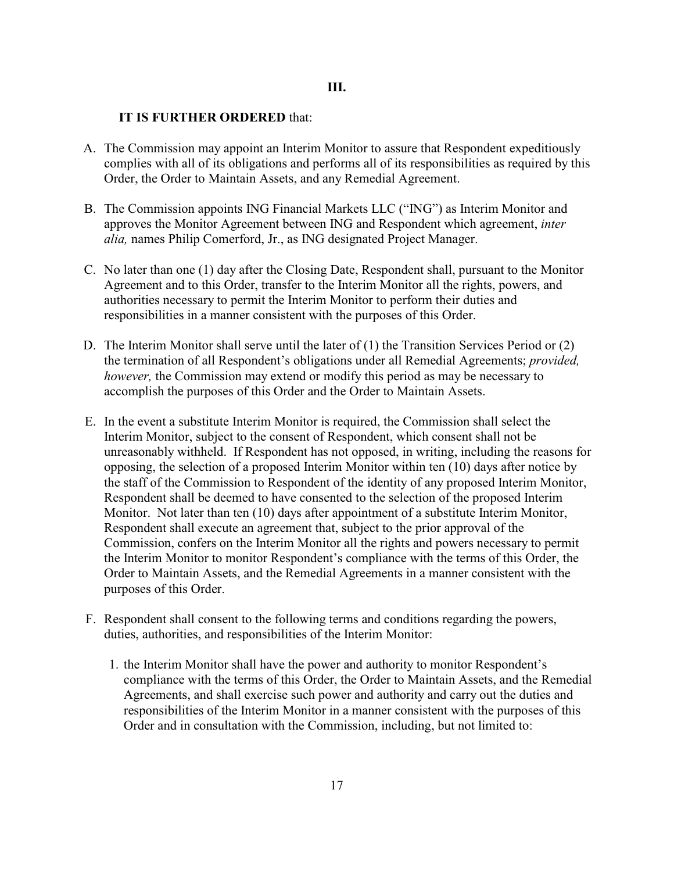### **III.**

### **IT IS FURTHER ORDERED** that:

- A. The Commission may appoint an Interim Monitor to assure that Respondent expeditiously complies with all of its obligations and performs all of its responsibilities as required by this Order, the Order to Maintain Assets, and any Remedial Agreement.
- B. The Commission appoints ING Financial Markets LLC ("ING") as Interim Monitor and approves the Monitor Agreement between ING and Respondent which agreement, *inter alia,* names Philip Comerford, Jr., as ING designated Project Manager.
- C. No later than one (1) day after the Closing Date, Respondent shall, pursuant to the Monitor Agreement and to this Order, transfer to the Interim Monitor all the rights, powers, and authorities necessary to permit the Interim Monitor to perform their duties and responsibilities in a manner consistent with the purposes of this Order.
- D. The Interim Monitor shall serve until the later of (1) the Transition Services Period or (2) the termination of all Respondent's obligations under all Remedial Agreements; *provided, however,* the Commission may extend or modify this period as may be necessary to accomplish the purposes of this Order and the Order to Maintain Assets.
- E. In the event a substitute Interim Monitor is required, the Commission shall select the Interim Monitor, subject to the consent of Respondent, which consent shall not be unreasonably withheld. If Respondent has not opposed, in writing, including the reasons for opposing, the selection of a proposed Interim Monitor within ten (10) days after notice by the staff of the Commission to Respondent of the identity of any proposed Interim Monitor, Respondent shall be deemed to have consented to the selection of the proposed Interim Monitor. Not later than ten (10) days after appointment of a substitute Interim Monitor, Respondent shall execute an agreement that, subject to the prior approval of the Commission, confers on the Interim Monitor all the rights and powers necessary to permit the Interim Monitor to monitor Respondent's compliance with the terms of this Order, the Order to Maintain Assets, and the Remedial Agreements in a manner consistent with the purposes of this Order.
- F. Respondent shall consent to the following terms and conditions regarding the powers, duties, authorities, and responsibilities of the Interim Monitor:
	- 1. the Interim Monitor shall have the power and authority to monitor Respondent's compliance with the terms of this Order, the Order to Maintain Assets, and the Remedial Agreements, and shall exercise such power and authority and carry out the duties and responsibilities of the Interim Monitor in a manner consistent with the purposes of this Order and in consultation with the Commission, including, but not limited to: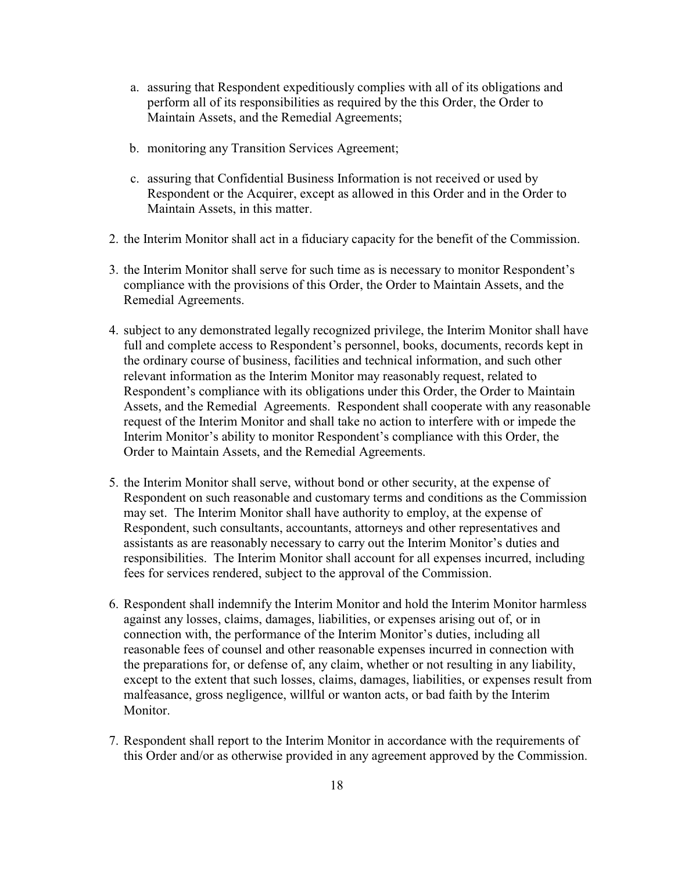- a. assuring that Respondent expeditiously complies with all of its obligations and perform all of its responsibilities as required by the this Order, the Order to Maintain Assets, and the Remedial Agreements;
- b. monitoring any Transition Services Agreement;
- c. assuring that Confidential Business Information is not received or used by Respondent or the Acquirer, except as allowed in this Order and in the Order to Maintain Assets, in this matter.
- 2. the Interim Monitor shall act in a fiduciary capacity for the benefit of the Commission.
- 3. the Interim Monitor shall serve for such time as is necessary to monitor Respondent's compliance with the provisions of this Order, the Order to Maintain Assets, and the Remedial Agreements.
- 4. subject to any demonstrated legally recognized privilege, the Interim Monitor shall have full and complete access to Respondent's personnel, books, documents, records kept in the ordinary course of business, facilities and technical information, and such other relevant information as the Interim Monitor may reasonably request, related to Respondent's compliance with its obligations under this Order, the Order to Maintain Assets, and the Remedial Agreements. Respondent shall cooperate with any reasonable request of the Interim Monitor and shall take no action to interfere with or impede the Interim Monitor's ability to monitor Respondent's compliance with this Order, the Order to Maintain Assets, and the Remedial Agreements.
- 5. the Interim Monitor shall serve, without bond or other security, at the expense of Respondent on such reasonable and customary terms and conditions as the Commission may set. The Interim Monitor shall have authority to employ, at the expense of Respondent, such consultants, accountants, attorneys and other representatives and assistants as are reasonably necessary to carry out the Interim Monitor's duties and responsibilities. The Interim Monitor shall account for all expenses incurred, including fees for services rendered, subject to the approval of the Commission.
- 6. Respondent shall indemnify the Interim Monitor and hold the Interim Monitor harmless against any losses, claims, damages, liabilities, or expenses arising out of, or in connection with, the performance of the Interim Monitor's duties, including all reasonable fees of counsel and other reasonable expenses incurred in connection with the preparations for, or defense of, any claim, whether or not resulting in any liability, except to the extent that such losses, claims, damages, liabilities, or expenses result from malfeasance, gross negligence, willful or wanton acts, or bad faith by the Interim Monitor.
- 7. Respondent shall report to the Interim Monitor in accordance with the requirements of this Order and/or as otherwise provided in any agreement approved by the Commission.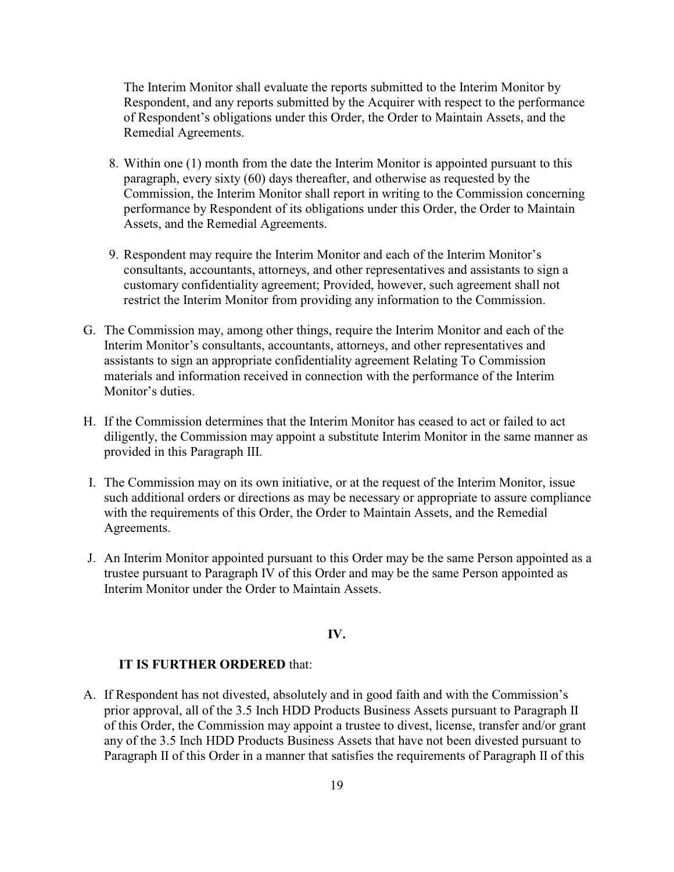The Interim Monitor shall evaluate the reports submitted to the Interim Monitor by Respondent, and any reports submitted by the Acquirer with respect to the performance of Respondent's obligations under this Order, the Order to Maintain Assets, and the Remedial Agreements.

- 8. Within one (1) month from the date the Interim Monitor is appointed pursuant to this paragraph, every sixty (60) days thereafter, and otherwise as requested by the Commission, the Interim Monitor shall report in writing to the Commission concerning performance by Respondent of its obligations under this Order, the Order to Maintain Assets, and the Remedial Agreements.
- 9. Respondent may require the Interim Monitor and each of the Interim Monitor's consultants, accountants, attorneys, and other representatives and assistants to sign a customary confidentiality agreement; Provided, however, such agreement shall not restrict the Interim Monitor from providing any information to the Commission.
- G. The Commission may, among other things, require the Interim Monitor and each of the Interim Monitor's consultants, accountants, attorneys, and other representatives and assistants to sign an appropriate confidentiality agreement Relating To Commission materials and information received in connection with the performance of the Interim Monitor's duties.
- H. If the Commission determines that the Interim Monitor has ceased to act or failed to act diligently, the Commission may appoint a substitute Interim Monitor in the same manner as provided in this Paragraph III.
- I. The Commission may on its own initiative, or at the request of the Interim Monitor, issue such additional orders or directions as may be necessary or appropriate to assure compliance with the requirements of this Order, the Order to Maintain Assets, and the Remedial Agreements.
- J. An Interim Monitor appointed pursuant to this Order may be the same Person appointed as a trustee pursuant to Paragraph IV of this Order and may be the same Person appointed as Interim Monitor under the Order to Maintain Assets.

### **IV.**

#### **IT IS FURTHER ORDERED** that:

A. If Respondent has not divested, absolutely and in good faith and with the Commission's prior approval, all of the 3.5 Inch HDD Products Business Assets pursuant to Paragraph II of this Order, the Commission may appoint a trustee to divest, license, transfer and/or grant any of the 3.5 Inch HDD Products Business Assets that have not been divested pursuant to Paragraph II of this Order in a manner that satisfies the requirements of Paragraph II of this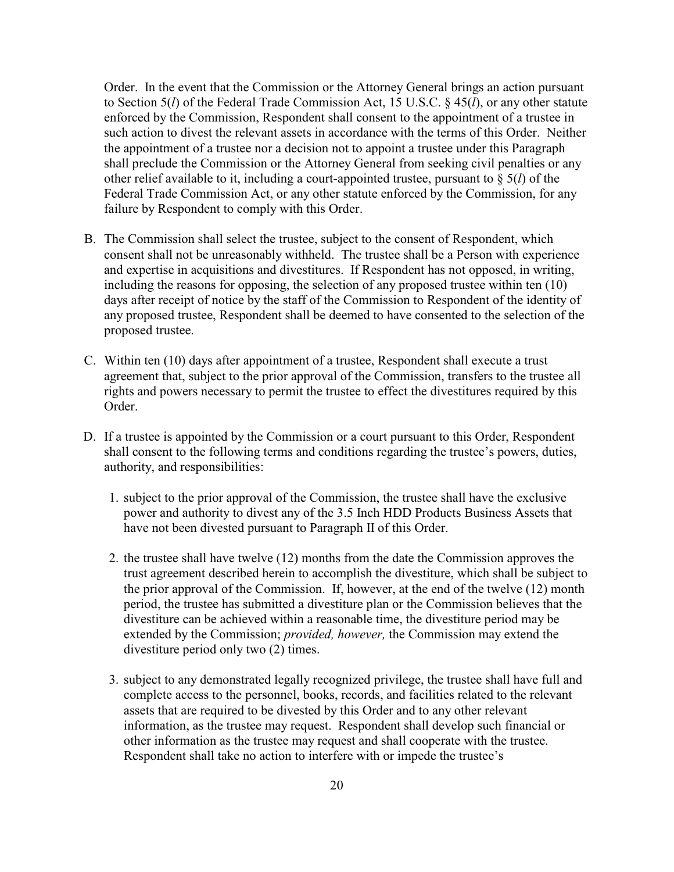Order. In the event that the Commission or the Attorney General brings an action pursuant to Section 5(*l*) of the Federal Trade Commission Act, 15 U.S.C. § 45(*l*), or any other statute enforced by the Commission, Respondent shall consent to the appointment of a trustee in such action to divest the relevant assets in accordance with the terms of this Order. Neither the appointment of a trustee nor a decision not to appoint a trustee under this Paragraph shall preclude the Commission or the Attorney General from seeking civil penalties or any other relief available to it, including a court-appointed trustee, pursuant to § 5(*l*) of the Federal Trade Commission Act, or any other statute enforced by the Commission, for any failure by Respondent to comply with this Order.

- B. The Commission shall select the trustee, subject to the consent of Respondent, which consent shall not be unreasonably withheld. The trustee shall be a Person with experience and expertise in acquisitions and divestitures. If Respondent has not opposed, in writing, including the reasons for opposing, the selection of any proposed trustee within ten (10) days after receipt of notice by the staff of the Commission to Respondent of the identity of any proposed trustee, Respondent shall be deemed to have consented to the selection of the proposed trustee.
- C. Within ten (10) days after appointment of a trustee, Respondent shall execute a trust agreement that, subject to the prior approval of the Commission, transfers to the trustee all rights and powers necessary to permit the trustee to effect the divestitures required by this Order.
- D. If a trustee is appointed by the Commission or a court pursuant to this Order, Respondent shall consent to the following terms and conditions regarding the trustee's powers, duties, authority, and responsibilities:
	- 1. subject to the prior approval of the Commission, the trustee shall have the exclusive power and authority to divest any of the 3.5 Inch HDD Products Business Assets that have not been divested pursuant to Paragraph II of this Order.
	- 2. the trustee shall have twelve (12) months from the date the Commission approves the trust agreement described herein to accomplish the divestiture, which shall be subject to the prior approval of the Commission. If, however, at the end of the twelve (12) month period, the trustee has submitted a divestiture plan or the Commission believes that the divestiture can be achieved within a reasonable time, the divestiture period may be extended by the Commission; *provided, however,* the Commission may extend the divestiture period only two (2) times.
	- 3. subject to any demonstrated legally recognized privilege, the trustee shall have full and complete access to the personnel, books, records, and facilities related to the relevant assets that are required to be divested by this Order and to any other relevant information, as the trustee may request. Respondent shall develop such financial or other information as the trustee may request and shall cooperate with the trustee. Respondent shall take no action to interfere with or impede the trustee's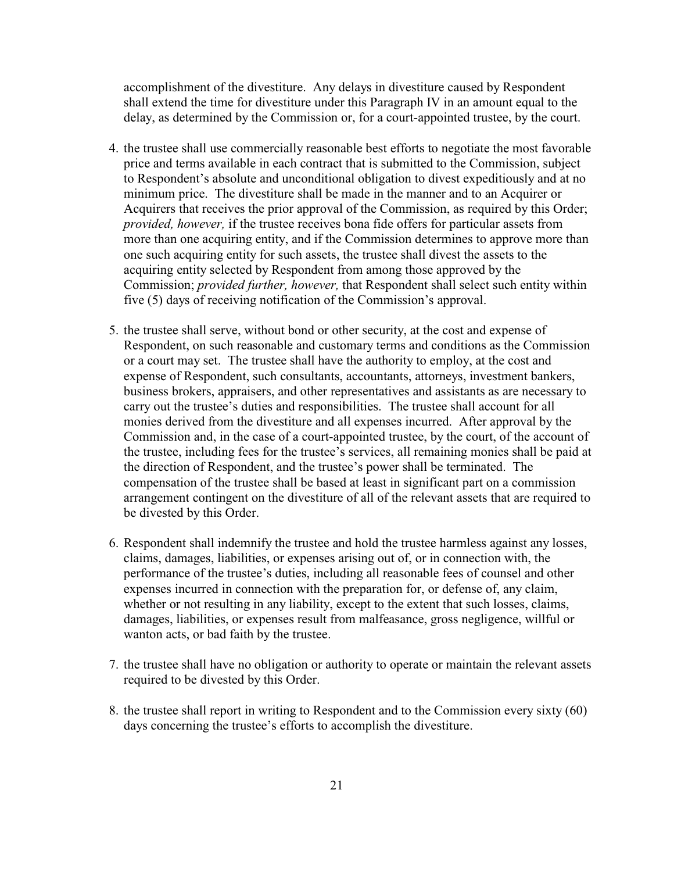accomplishment of the divestiture. Any delays in divestiture caused by Respondent shall extend the time for divestiture under this Paragraph IV in an amount equal to the delay, as determined by the Commission or, for a court-appointed trustee, by the court.

- 4. the trustee shall use commercially reasonable best efforts to negotiate the most favorable price and terms available in each contract that is submitted to the Commission, subject to Respondent's absolute and unconditional obligation to divest expeditiously and at no minimum price. The divestiture shall be made in the manner and to an Acquirer or Acquirers that receives the prior approval of the Commission, as required by this Order; *provided, however,* if the trustee receives bona fide offers for particular assets from more than one acquiring entity, and if the Commission determines to approve more than one such acquiring entity for such assets, the trustee shall divest the assets to the acquiring entity selected by Respondent from among those approved by the Commission; *provided further, however,* that Respondent shall select such entity within five (5) days of receiving notification of the Commission's approval.
- 5. the trustee shall serve, without bond or other security, at the cost and expense of Respondent, on such reasonable and customary terms and conditions as the Commission or a court may set. The trustee shall have the authority to employ, at the cost and expense of Respondent, such consultants, accountants, attorneys, investment bankers, business brokers, appraisers, and other representatives and assistants as are necessary to carry out the trustee's duties and responsibilities. The trustee shall account for all monies derived from the divestiture and all expenses incurred. After approval by the Commission and, in the case of a court-appointed trustee, by the court, of the account of the trustee, including fees for the trustee's services, all remaining monies shall be paid at the direction of Respondent, and the trustee's power shall be terminated. The compensation of the trustee shall be based at least in significant part on a commission arrangement contingent on the divestiture of all of the relevant assets that are required to be divested by this Order.
- 6. Respondent shall indemnify the trustee and hold the trustee harmless against any losses, claims, damages, liabilities, or expenses arising out of, or in connection with, the performance of the trustee's duties, including all reasonable fees of counsel and other expenses incurred in connection with the preparation for, or defense of, any claim, whether or not resulting in any liability, except to the extent that such losses, claims, damages, liabilities, or expenses result from malfeasance, gross negligence, willful or wanton acts, or bad faith by the trustee.
- 7. the trustee shall have no obligation or authority to operate or maintain the relevant assets required to be divested by this Order.
- 8. the trustee shall report in writing to Respondent and to the Commission every sixty (60) days concerning the trustee's efforts to accomplish the divestiture.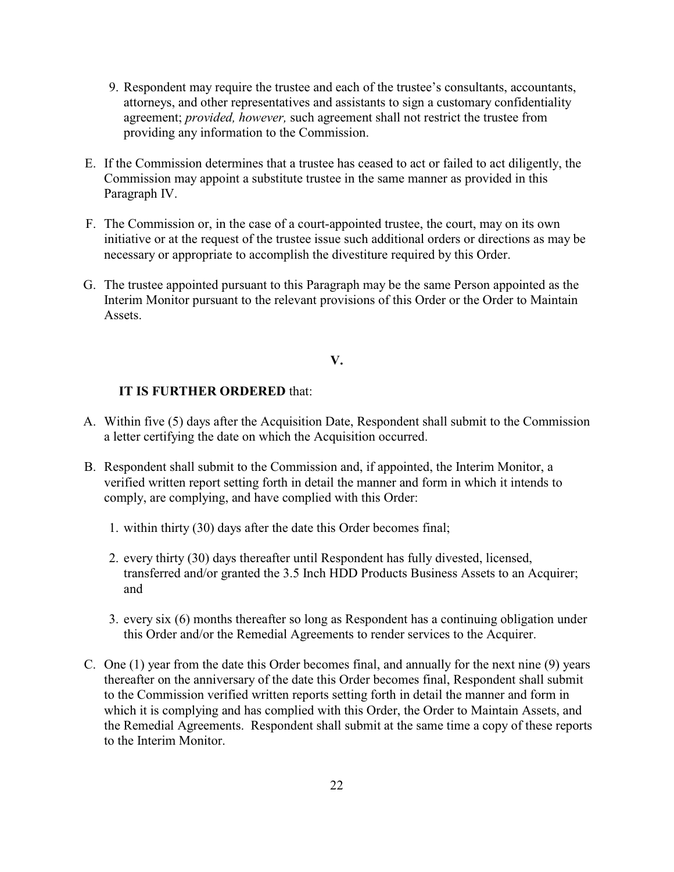- 9. Respondent may require the trustee and each of the trustee's consultants, accountants, attorneys, and other representatives and assistants to sign a customary confidentiality agreement; *provided, however,* such agreement shall not restrict the trustee from providing any information to the Commission.
- E. If the Commission determines that a trustee has ceased to act or failed to act diligently, the Commission may appoint a substitute trustee in the same manner as provided in this Paragraph IV.
- F. The Commission or, in the case of a court-appointed trustee, the court, may on its own initiative or at the request of the trustee issue such additional orders or directions as may be necessary or appropriate to accomplish the divestiture required by this Order.
- G. The trustee appointed pursuant to this Paragraph may be the same Person appointed as the Interim Monitor pursuant to the relevant provisions of this Order or the Order to Maintain Assets.

### **V.**

### **IT IS FURTHER ORDERED** that:

- A. Within five (5) days after the Acquisition Date, Respondent shall submit to the Commission a letter certifying the date on which the Acquisition occurred.
- B. Respondent shall submit to the Commission and, if appointed, the Interim Monitor, a verified written report setting forth in detail the manner and form in which it intends to comply, are complying, and have complied with this Order:
	- 1. within thirty (30) days after the date this Order becomes final;
	- 2. every thirty (30) days thereafter until Respondent has fully divested, licensed, transferred and/or granted the 3.5 Inch HDD Products Business Assets to an Acquirer; and
	- 3. every six (6) months thereafter so long as Respondent has a continuing obligation under this Order and/or the Remedial Agreements to render services to the Acquirer.
- C. One (1) year from the date this Order becomes final, and annually for the next nine (9) years thereafter on the anniversary of the date this Order becomes final, Respondent shall submit to the Commission verified written reports setting forth in detail the manner and form in which it is complying and has complied with this Order, the Order to Maintain Assets, and the Remedial Agreements. Respondent shall submit at the same time a copy of these reports to the Interim Monitor.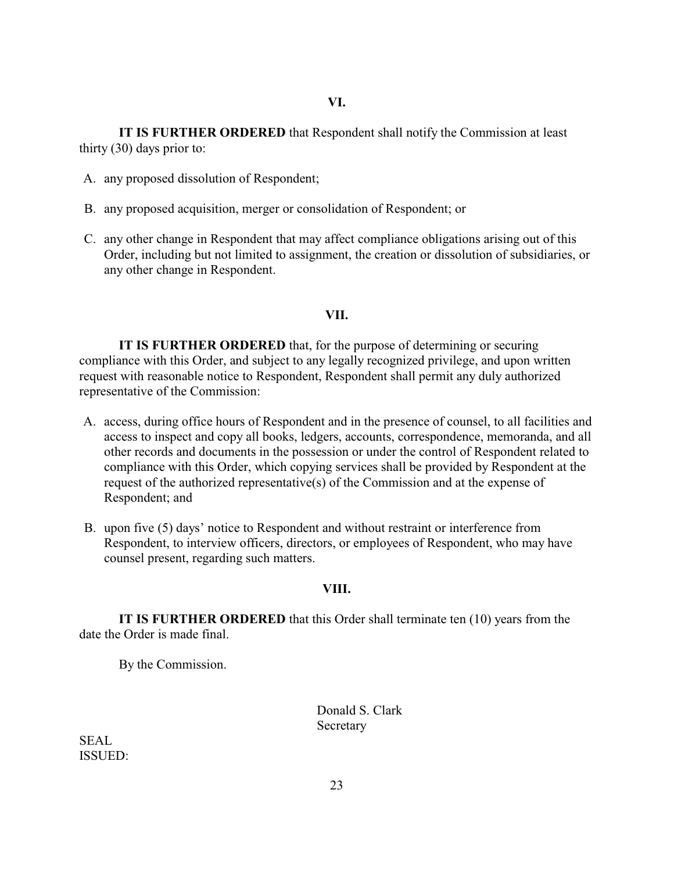**IT IS FURTHER ORDERED** that Respondent shall notify the Commission at least thirty (30) days prior to:

- A. any proposed dissolution of Respondent;
- B. any proposed acquisition, merger or consolidation of Respondent; or
- C. any other change in Respondent that may affect compliance obligations arising out of this Order, including but not limited to assignment, the creation or dissolution of subsidiaries, or any other change in Respondent.

#### **VII.**

**IT IS FURTHER ORDERED** that, for the purpose of determining or securing compliance with this Order, and subject to any legally recognized privilege, and upon written request with reasonable notice to Respondent, Respondent shall permit any duly authorized representative of the Commission:

- A. access, during office hours of Respondent and in the presence of counsel, to all facilities and access to inspect and copy all books, ledgers, accounts, correspondence, memoranda, and all other records and documents in the possession or under the control of Respondent related to compliance with this Order, which copying services shall be provided by Respondent at the request of the authorized representative(s) of the Commission and at the expense of Respondent; and
- B. upon five (5) days' notice to Respondent and without restraint or interference from Respondent, to interview officers, directors, or employees of Respondent, who may have counsel present, regarding such matters.

#### **VIII.**

**IT IS FURTHER ORDERED** that this Order shall terminate ten (10) years from the date the Order is made final.

By the Commission.

Donald S. Clark Secretary

SEAL ISSUED: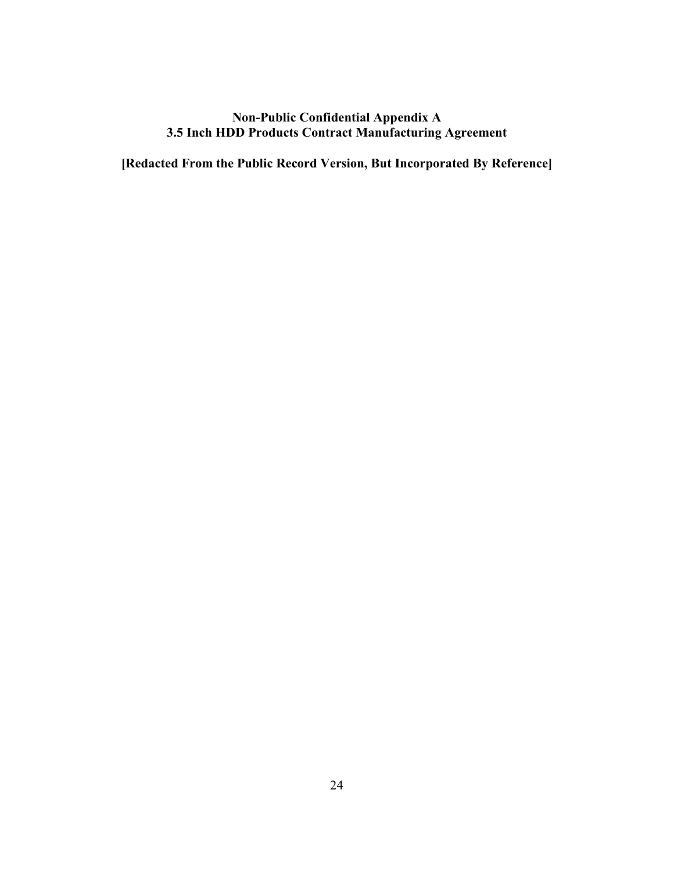## **Non-Public Confidential Appendix A 3.5 Inch HDD Products Contract Manufacturing Agreement**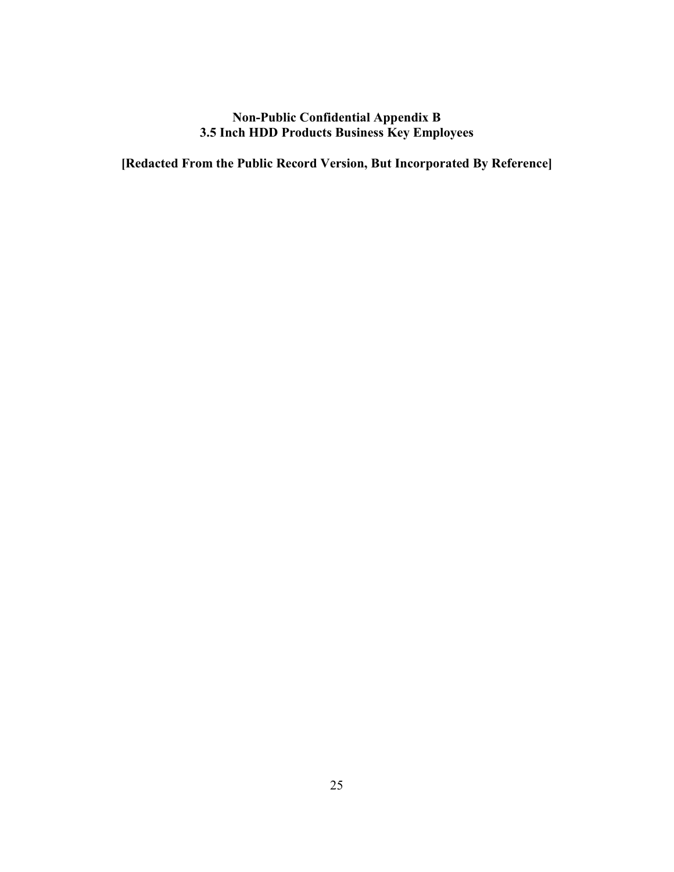## **Non-Public Confidential Appendix B 3.5 Inch HDD Products Business Key Employees**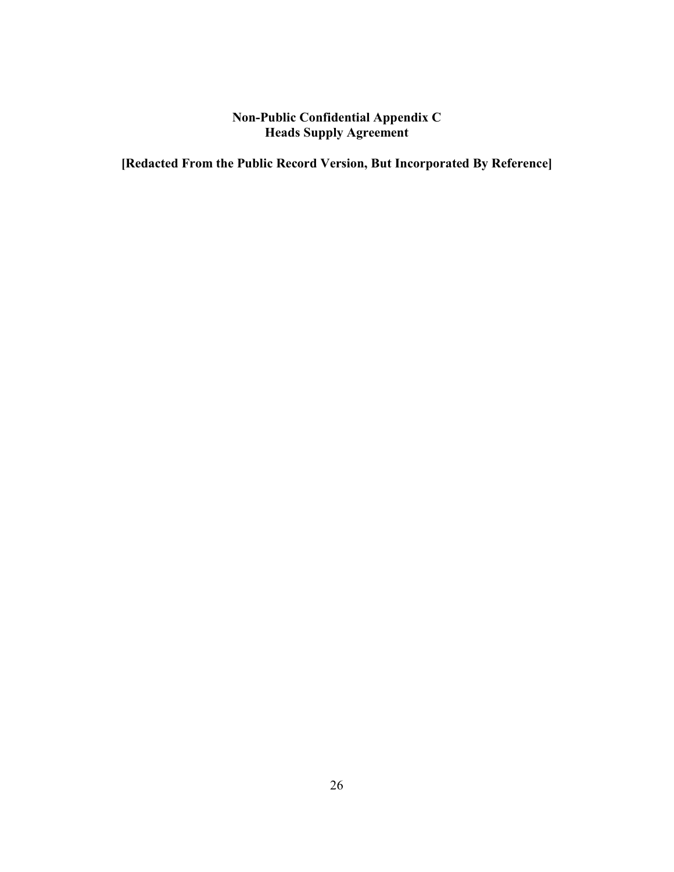# **Non-Public Confidential Appendix C Heads Supply Agreement**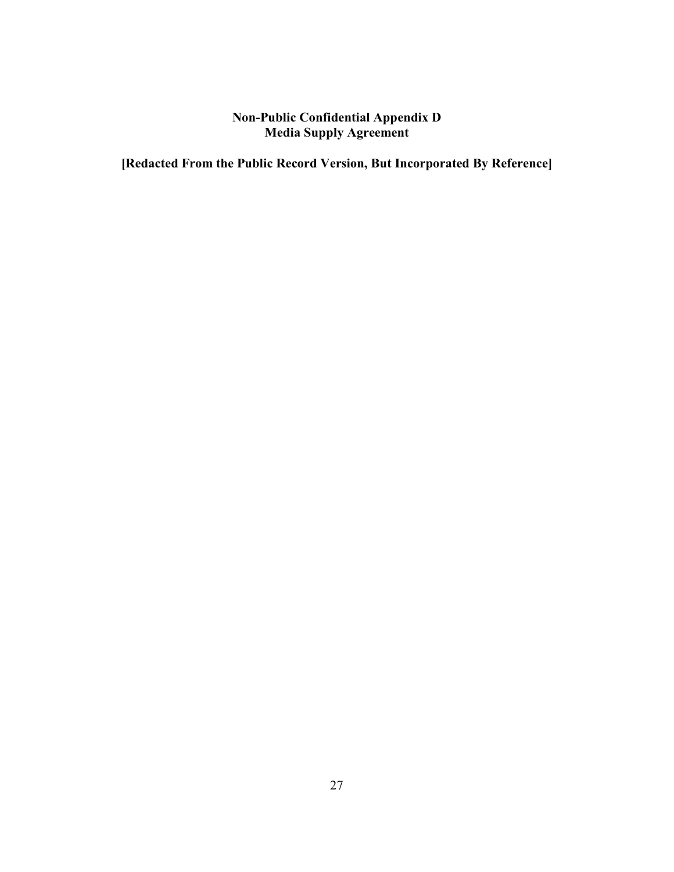# **Non-Public Confidential Appendix D Media Supply Agreement**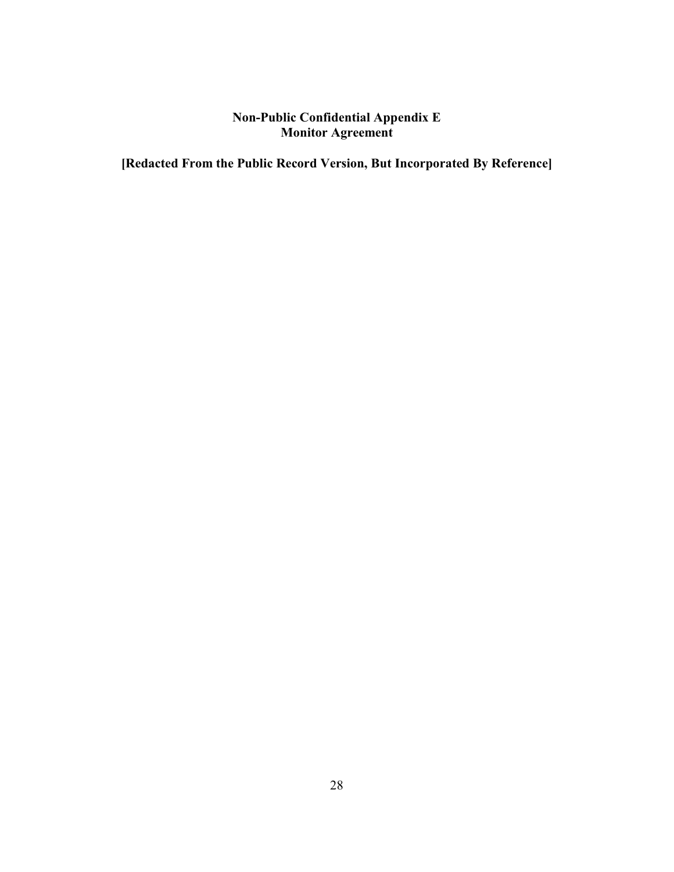# **Non-Public Confidential Appendix E Monitor Agreement**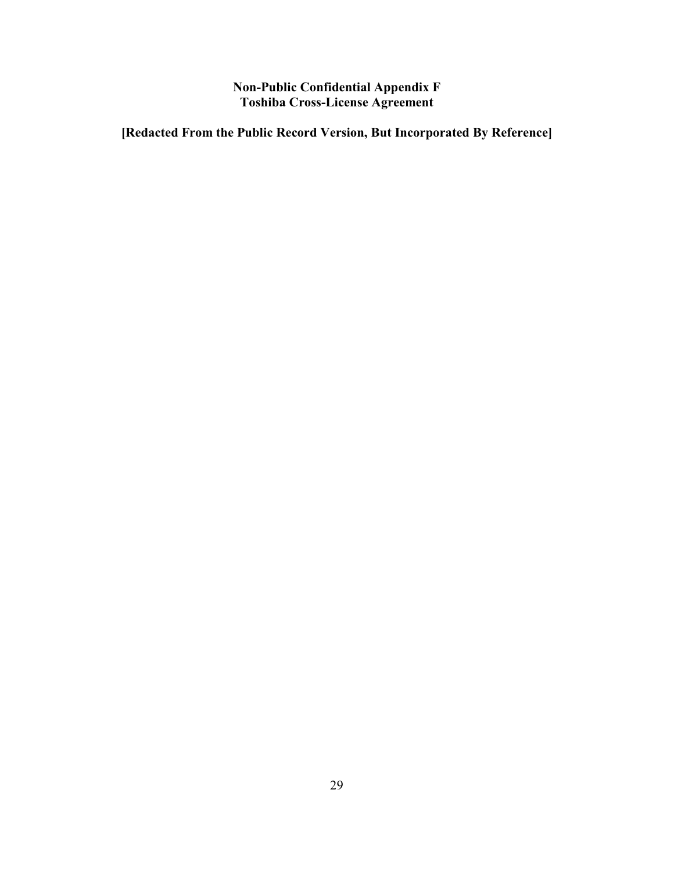**Non-Public Confidential Appendix F Toshiba Cross-License Agreement**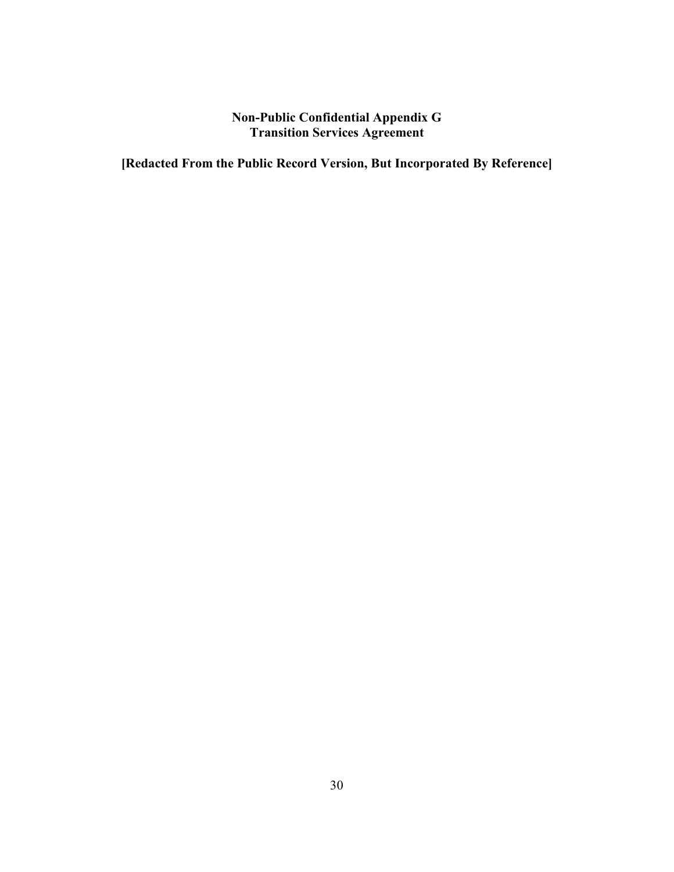# **Non-Public Confidential Appendix G Transition Services Agreement**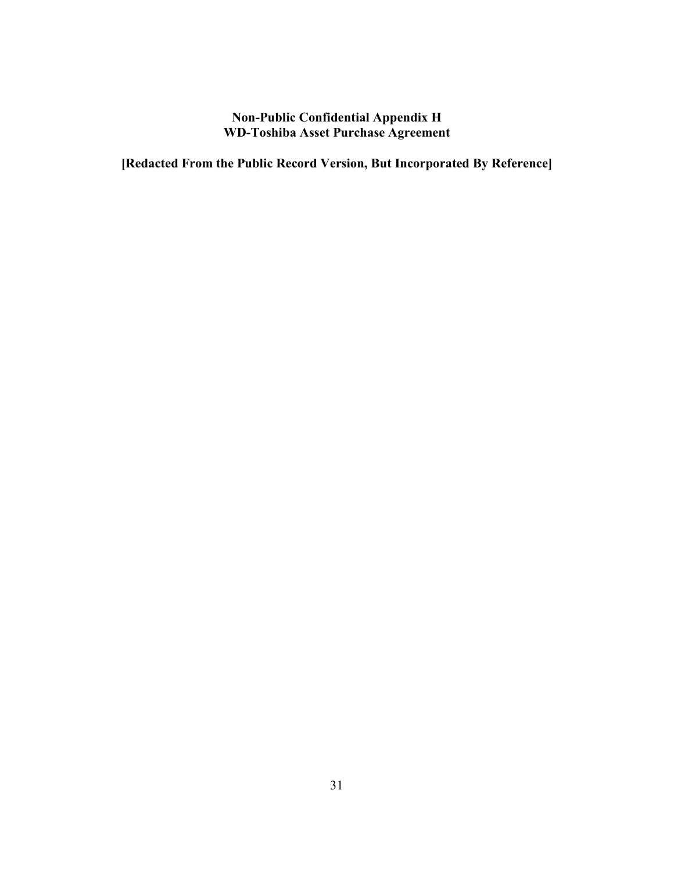## **Non-Public Confidential Appendix H WD-Toshiba Asset Purchase Agreement**